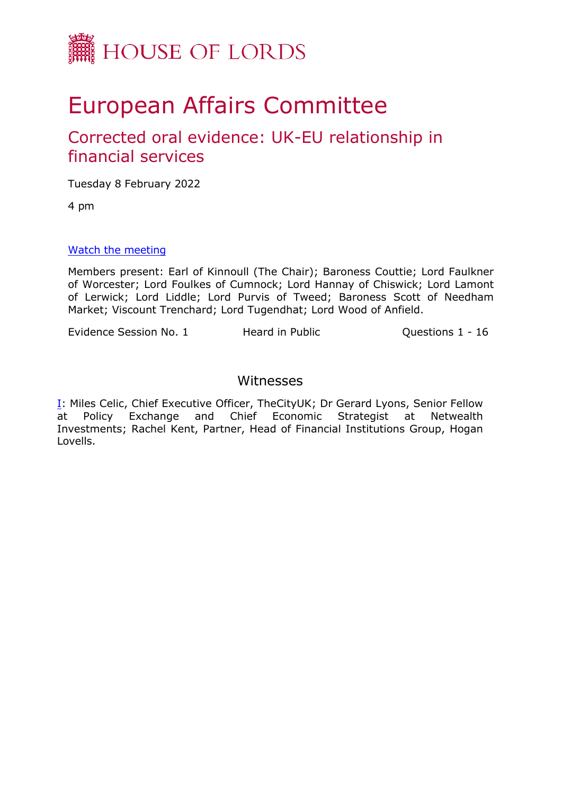

# European Affairs Committee

# Corrected oral evidence: UK-EU relationship in financial services

Tuesday 8 February 2022

4 pm

### [Watch](https://parliamentlive.tv/event/index/22739eee-c653-43a0-b303-ee61f6c029ce) [the](https://parliamentlive.tv/event/index/22739eee-c653-43a0-b303-ee61f6c029ce) [m](https://parliamentlive.tv/event/index/22739eee-c653-43a0-b303-ee61f6c029ce)eeting

Members present: Earl of Kinnoull (The Chair); Baroness Couttie; Lord Faulkner of Worcester; Lord Foulkes of Cumnock; Lord Hannay of Chiswick; Lord Lamont of Lerwick; Lord Liddle; Lord Purvis of Tweed; Baroness Scott of Needham Market; Viscount Trenchard; Lord Tugendhat; Lord Wood of Anfield.

Evidence Session No. 1 Heard in Public Questions 1 - 16

# Witnesses

[I](#page-1-0): Miles Celic, Chief Executive Officer, TheCityUK; Dr Gerard Lyons, Senior Fellow at Policy Exchange and Chief Economic Strategist at Netwealth Investments; Rachel Kent, Partner, Head of Financial Institutions Group, Hogan Lovells.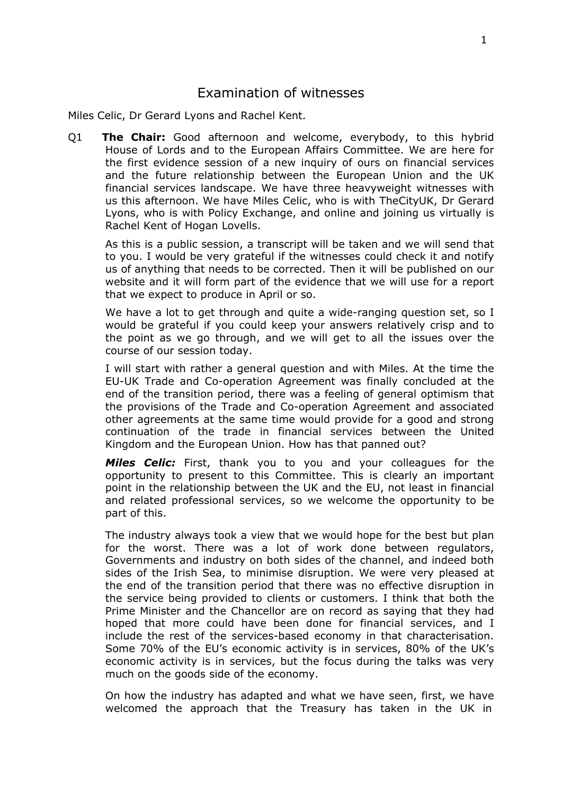## <span id="page-1-0"></span>Examination of witnesses

Miles Celic, Dr Gerard Lyons and Rachel Kent.

Q1 **The Chair:** Good afternoon and welcome, everybody, to this hybrid House of Lords and to the European Affairs Committee. We are here for the first evidence session of a new inquiry of ours on financial services and the future relationship between the European Union and the UK financial services landscape. We have three heavyweight witnesses with us this afternoon. We have Miles Celic, who is with TheCityUK, Dr Gerard Lyons, who is with Policy Exchange, and online and joining us virtually is Rachel Kent of Hogan Lovells.

As this is a public session, a transcript will be taken and we will send that to you. I would be very grateful if the witnesses could check it and notify us of anything that needs to be corrected. Then it will be published on our website and it will form part of the evidence that we will use for a report that we expect to produce in April or so.

We have a lot to get through and quite a wide-ranging question set, so I would be grateful if you could keep your answers relatively crisp and to the point as we go through, and we will get to all the issues over the course of our session today.

I will start with rather a general question and with Miles. At the time the EU-UK Trade and Co-operation Agreement was finally concluded at the end of the transition period, there was a feeling of general optimism that the provisions of the Trade and Co-operation Agreement and associated other agreements at the same time would provide for a good and strong continuation of the trade in financial services between the United Kingdom and the European Union. How has that panned out?

*Miles Celic:* First, thank you to you and your colleagues for the opportunity to present to this Committee. This is clearly an important point in the relationship between the UK and the EU, not least in financial and related professional services, so we welcome the opportunity to be part of this.

The industry always took a view that we would hope for the best but plan for the worst. There was a lot of work done between regulators, Governments and industry on both sides of the channel, and indeed both sides of the Irish Sea, to minimise disruption. We were very pleased at the end of the transition period that there was no effective disruption in the service being provided to clients or customers. I think that both the Prime Minister and the Chancellor are on record as saying that they had hoped that more could have been done for financial services, and I include the rest of the services-based economy in that characterisation. Some 70% of the EU's economic activity is in services, 80% of the UK's economic activity is in services, but the focus during the talks was very much on the goods side of the economy.

On how the industry has adapted and what we have seen, first, we have welcomed the approach that the Treasury has taken in the UK in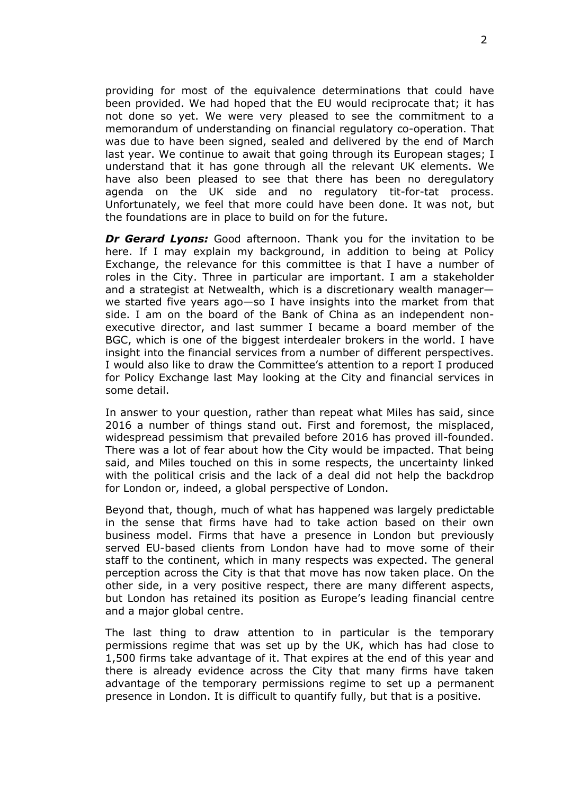providing for most of the equivalence determinations that could have been provided. We had hoped that the EU would reciprocate that; it has not done so yet. We were very pleased to see the commitment to a memorandum of understanding on financial regulatory co-operation. That was due to have been signed, sealed and delivered by the end of March last year. We continue to await that going through its European stages; I understand that it has gone through all the relevant UK elements. We have also been pleased to see that there has been no deregulatory agenda on the UK side and no regulatory tit-for-tat process. Unfortunately, we feel that more could have been done. It was not, but the foundations are in place to build on for the future.

*Dr Gerard Lyons:* Good afternoon. Thank you for the invitation to be here. If I may explain my background, in addition to being at Policy Exchange, the relevance for this committee is that I have a number of roles in the City. Three in particular are important. I am a stakeholder and a strategist at Netwealth, which is a discretionary wealth manager we started five years ago—so I have insights into the market from that side. I am on the board of the Bank of China as an independent nonexecutive director, and last summer I became a board member of the BGC, which is one of the biggest interdealer brokers in the world. I have insight into the financial services from a number of different perspectives. I would also like to draw the Committee's attention to a report I produced for Policy Exchange last May looking at the City and financial services in some detail.

In answer to your question, rather than repeat what Miles has said, since 2016 a number of things stand out. First and foremost, the misplaced, widespread pessimism that prevailed before 2016 has proved ill-founded. There was a lot of fear about how the City would be impacted. That being said, and Miles touched on this in some respects, the uncertainty linked with the political crisis and the lack of a deal did not help the backdrop for London or, indeed, a global perspective of London.

Beyond that, though, much of what has happened was largely predictable in the sense that firms have had to take action based on their own business model. Firms that have a presence in London but previously served EU-based clients from London have had to move some of their staff to the continent, which in many respects was expected. The general perception across the City is that that move has now taken place. On the other side, in a very positive respect, there are many different aspects, but London has retained its position as Europe's leading financial centre and a major global centre.

The last thing to draw attention to in particular is the temporary permissions regime that was set up by the UK, which has had close to 1,500 firms take advantage of it. That expires at the end of this year and there is already evidence across the City that many firms have taken advantage of the temporary permissions regime to set up a permanent presence in London. It is difficult to quantify fully, but that is a positive.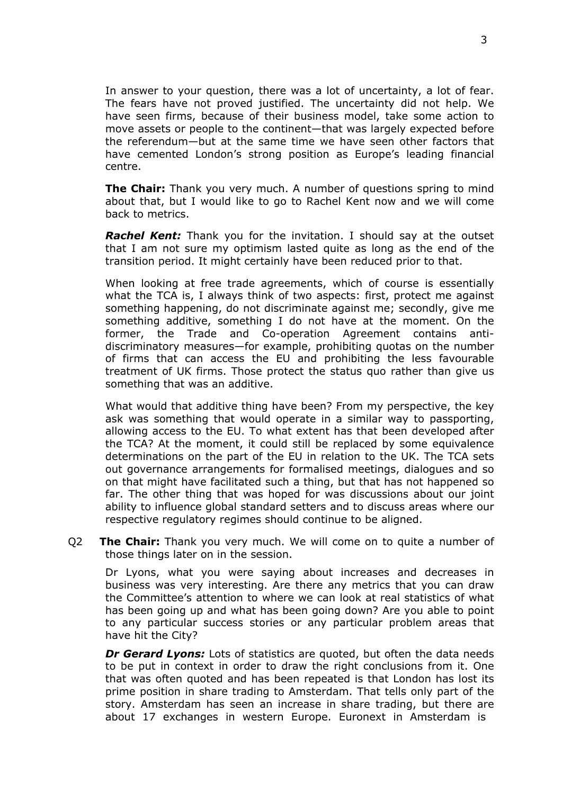In answer to your question, there was a lot of uncertainty, a lot of fear. The fears have not proved justified. The uncertainty did not help. We have seen firms, because of their business model, take some action to move assets or people to the continent—that was largely expected before the referendum—but at the same time we have seen other factors that have cemented London's strong position as Europe's leading financial centre.

**The Chair:** Thank you very much. A number of questions spring to mind about that, but I would like to go to Rachel Kent now and we will come back to metrics.

*Rachel Kent:* Thank you for the invitation. I should say at the outset that I am not sure my optimism lasted quite as long as the end of the transition period. It might certainly have been reduced prior to that.

When looking at free trade agreements, which of course is essentially what the TCA is, I always think of two aspects: first, protect me against something happening, do not discriminate against me; secondly, give me something additive, something I do not have at the moment. On the former, the Trade and Co-operation Agreement contains antidiscriminatory measures—for example, prohibiting quotas on the number of firms that can access the EU and prohibiting the less favourable treatment of UK firms. Those protect the status quo rather than give us something that was an additive.

What would that additive thing have been? From my perspective, the key ask was something that would operate in a similar way to passporting, allowing access to the EU. To what extent has that been developed after the TCA? At the moment, it could still be replaced by some equivalence determinations on the part of the EU in relation to the UK. The TCA sets out governance arrangements for formalised meetings, dialogues and so on that might have facilitated such a thing, but that has not happened so far. The other thing that was hoped for was discussions about our joint ability to influence global standard setters and to discuss areas where our respective regulatory regimes should continue to be aligned.

Q2 **The Chair:** Thank you very much. We will come on to quite a number of those things later on in the session.

Dr Lyons, what you were saying about increases and decreases in business was very interesting. Are there any metrics that you can draw the Committee's attention to where we can look at real statistics of what has been going up and what has been going down? Are you able to point to any particular success stories or any particular problem areas that have hit the City?

*Dr Gerard Lyons:* Lots of statistics are quoted, but often the data needs to be put in context in order to draw the right conclusions from it. One that was often quoted and has been repeated is that London has lost its prime position in share trading to Amsterdam. That tells only part of the story. Amsterdam has seen an increase in share trading, but there are about 17 exchanges in western Europe. Euronext in Amsterdam is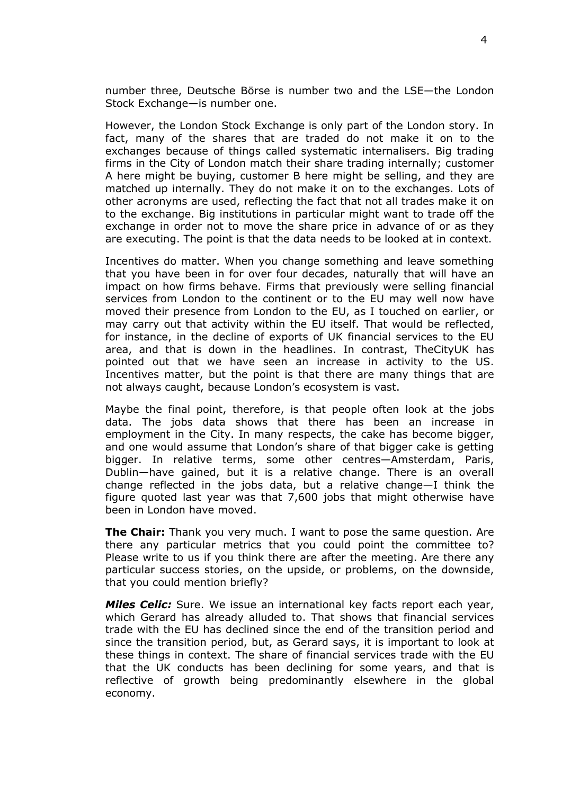number three, Deutsche Börse is number two and the LSE—the London Stock Exchange—is number one.

However, the London Stock Exchange is only part of the London story. In fact, many of the shares that are traded do not make it on to the exchanges because of things called systematic internalisers. Big trading firms in the City of London match their share trading internally; customer A here might be buying, customer B here might be selling, and they are matched up internally. They do not make it on to the exchanges. Lots of other acronyms are used, reflecting the fact that not all trades make it on to the exchange. Big institutions in particular might want to trade off the exchange in order not to move the share price in advance of or as they are executing. The point is that the data needs to be looked at in context.

Incentives do matter. When you change something and leave something that you have been in for over four decades, naturally that will have an impact on how firms behave. Firms that previously were selling financial services from London to the continent or to the EU may well now have moved their presence from London to the EU, as I touched on earlier, or may carry out that activity within the EU itself. That would be reflected, for instance, in the decline of exports of UK financial services to the EU area, and that is down in the headlines. In contrast, TheCityUK has pointed out that we have seen an increase in activity to the US. Incentives matter, but the point is that there are many things that are not always caught, because London's ecosystem is vast.

Maybe the final point, therefore, is that people often look at the jobs data. The jobs data shows that there has been an increase in employment in the City. In many respects, the cake has become bigger, and one would assume that London's share of that bigger cake is getting bigger. In relative terms, some other centres—Amsterdam, Paris, Dublin—have gained, but it is a relative change. There is an overall change reflected in the jobs data, but a relative change—I think the figure quoted last year was that 7,600 jobs that might otherwise have been in London have moved.

**The Chair:** Thank you very much. I want to pose the same question. Are there any particular metrics that you could point the committee to? Please write to us if you think there are after the meeting. Are there any particular success stories, on the upside, or problems, on the downside, that you could mention briefly?

*Miles Celic:* Sure. We issue an international key facts report each year, which Gerard has already alluded to. That shows that financial services trade with the EU has declined since the end of the transition period and since the transition period, but, as Gerard says, it is important to look at these things in context. The share of financial services trade with the EU that the UK conducts has been declining for some years, and that is reflective of growth being predominantly elsewhere in the global economy.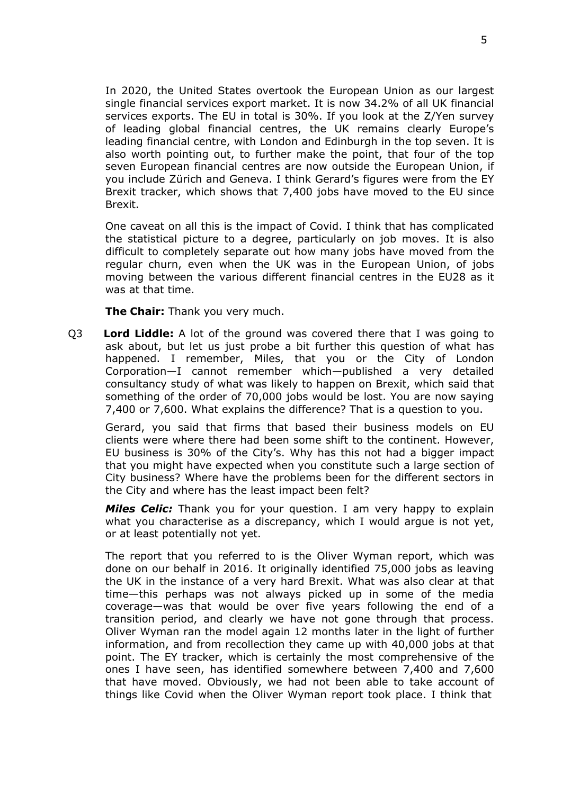In 2020, the United States overtook the European Union as our largest single financial services export market. It is now 34.2% of all UK financial services exports. The EU in total is 30%. If you look at the Z/Yen survey of leading global financial centres, the UK remains clearly Europe's leading financial centre, with London and Edinburgh in the top seven. It is also worth pointing out, to further make the point, that four of the top seven European financial centres are now outside the European Union, if you include Zürich and Geneva. I think Gerard's figures were from the EY Brexit tracker, which shows that 7,400 jobs have moved to the EU since Brexit.

One caveat on all this is the impact of Covid. I think that has complicated the statistical picture to a degree, particularly on job moves. It is also difficult to completely separate out how many jobs have moved from the regular churn, even when the UK was in the European Union, of jobs moving between the various different financial centres in the EU28 as it was at that time.

**The Chair:** Thank you very much.

Q3 **Lord Liddle:** A lot of the ground was covered there that I was going to ask about, but let us just probe a bit further this question of what has happened. I remember, Miles, that you or the City of London Corporation—I cannot remember which—published a very detailed consultancy study of what was likely to happen on Brexit, which said that something of the order of 70,000 jobs would be lost. You are now saying 7,400 or 7,600. What explains the difference? That is a question to you.

Gerard, you said that firms that based their business models on EU clients were where there had been some shift to the continent. However, EU business is 30% of the City's. Why has this not had a bigger impact that you might have expected when you constitute such a large section of City business? Where have the problems been for the different sectors in the City and where has the least impact been felt?

*Miles Celic:* Thank you for your question. I am very happy to explain what you characterise as a discrepancy, which I would argue is not yet, or at least potentially not yet.

The report that you referred to is the Oliver Wyman report, which was done on our behalf in 2016. It originally identified 75,000 jobs as leaving the UK in the instance of a very hard Brexit. What was also clear at that time—this perhaps was not always picked up in some of the media coverage—was that would be over five years following the end of a transition period, and clearly we have not gone through that process. Oliver Wyman ran the model again 12 months later in the light of further information, and from recollection they came up with 40,000 jobs at that point. The EY tracker, which is certainly the most comprehensive of the ones I have seen, has identified somewhere between 7,400 and 7,600 that have moved. Obviously, we had not been able to take account of things like Covid when the Oliver Wyman report took place. I think that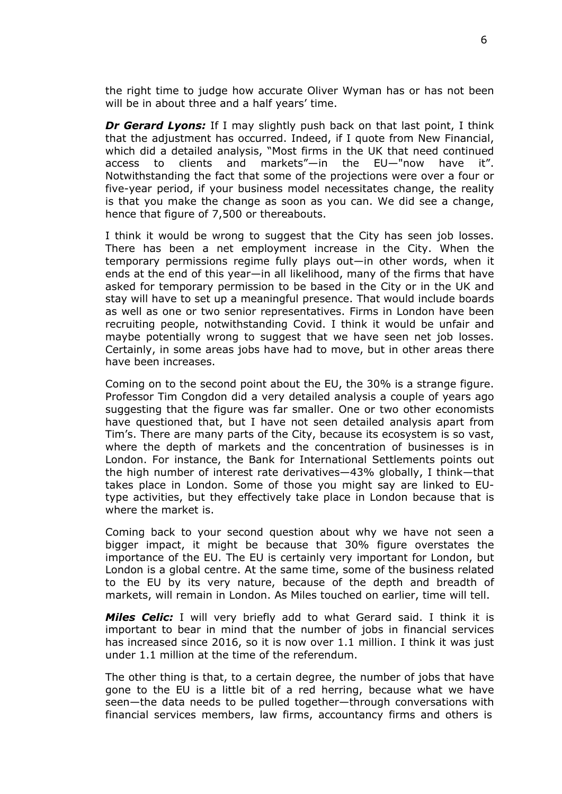the right time to judge how accurate Oliver Wyman has or has not been will be in about three and a half years' time.

*Dr Gerard Lyons:* If I may slightly push back on that last point, I think that the adjustment has occurred. Indeed, if I quote from New Financial, which did a detailed analysis, "Most firms in the UK that need continued access to clients and markets"—in the EU—"now have it". Notwithstanding the fact that some of the projections were over a four or five-year period, if your business model necessitates change, the reality is that you make the change as soon as you can. We did see a change, hence that figure of 7,500 or thereabouts.

I think it would be wrong to suggest that the City has seen job losses. There has been a net employment increase in the City. When the temporary permissions regime fully plays out—in other words, when it ends at the end of this year—in all likelihood, many of the firms that have asked for temporary permission to be based in the City or in the UK and stay will have to set up a meaningful presence. That would include boards as well as one or two senior representatives. Firms in London have been recruiting people, notwithstanding Covid. I think it would be unfair and maybe potentially wrong to suggest that we have seen net job losses. Certainly, in some areas jobs have had to move, but in other areas there have been increases.

Coming on to the second point about the EU, the 30% is a strange figure. Professor Tim Congdon did a very detailed analysis a couple of years ago suggesting that the figure was far smaller. One or two other economists have questioned that, but I have not seen detailed analysis apart from Tim's. There are many parts of the City, because its ecosystem is so vast, where the depth of markets and the concentration of businesses is in London. For instance, the Bank for International Settlements points out the high number of interest rate derivatives—43% globally, I think—that takes place in London. Some of those you might say are linked to EUtype activities, but they effectively take place in London because that is where the market is.

Coming back to your second question about why we have not seen a bigger impact, it might be because that 30% figure overstates the importance of the EU. The EU is certainly very important for London, but London is a global centre. At the same time, some of the business related to the EU by its very nature, because of the depth and breadth of markets, will remain in London. As Miles touched on earlier, time will tell.

*Miles Celic:* I will very briefly add to what Gerard said. I think it is important to bear in mind that the number of jobs in financial services has increased since 2016, so it is now over 1.1 million. I think it was just under 1.1 million at the time of the referendum.

The other thing is that, to a certain degree, the number of jobs that have gone to the EU is a little bit of a red herring, because what we have seen—the data needs to be pulled together—through conversations with financial services members, law firms, accountancy firms and others is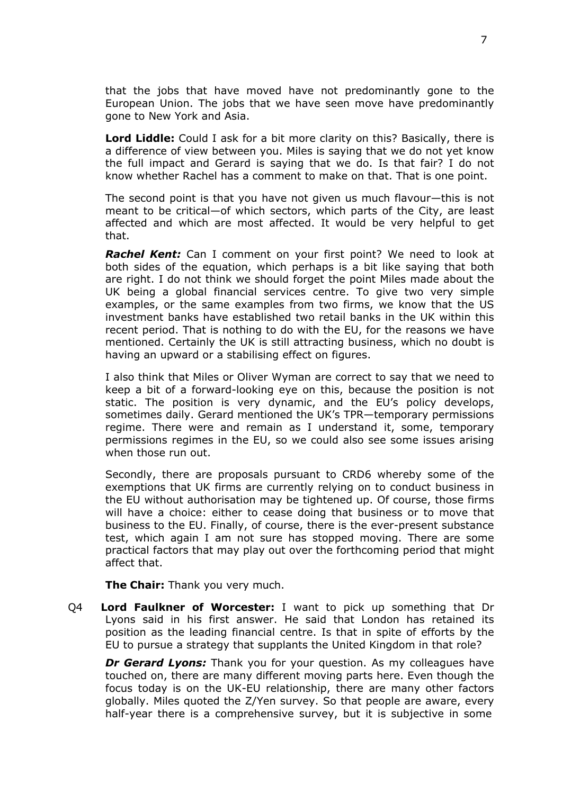that the jobs that have moved have not predominantly gone to the European Union. The jobs that we have seen move have predominantly gone to New York and Asia.

**Lord Liddle:** Could I ask for a bit more clarity on this? Basically, there is a difference of view between you. Miles is saying that we do not yet know the full impact and Gerard is saying that we do. Is that fair? I do not know whether Rachel has a comment to make on that. That is one point.

The second point is that you have not given us much flavour—this is not meant to be critical—of which sectors, which parts of the City, are least affected and which are most affected. It would be very helpful to get that.

*Rachel Kent:* Can I comment on your first point? We need to look at both sides of the equation, which perhaps is a bit like saying that both are right. I do not think we should forget the point Miles made about the UK being a global financial services centre. To give two very simple examples, or the same examples from two firms, we know that the US investment banks have established two retail banks in the UK within this recent period. That is nothing to do with the EU, for the reasons we have mentioned. Certainly the UK is still attracting business, which no doubt is having an upward or a stabilising effect on figures.

I also think that Miles or Oliver Wyman are correct to say that we need to keep a bit of a forward-looking eye on this, because the position is not static. The position is very dynamic, and the EU's policy develops, sometimes daily. Gerard mentioned the UK's TPR—temporary permissions regime. There were and remain as I understand it, some, temporary permissions regimes in the EU, so we could also see some issues arising when those run out.

Secondly, there are proposals pursuant to CRD6 whereby some of the exemptions that UK firms are currently relying on to conduct business in the EU without authorisation may be tightened up. Of course, those firms will have a choice: either to cease doing that business or to move that business to the EU. Finally, of course, there is the ever-present substance test, which again I am not sure has stopped moving. There are some practical factors that may play out over the forthcoming period that might affect that.

**The Chair:** Thank you very much.

Q4 **Lord Faulkner of Worcester:** I want to pick up something that Dr Lyons said in his first answer. He said that London has retained its position as the leading financial centre. Is that in spite of efforts by the EU to pursue a strategy that supplants the United Kingdom in that role?

*Dr Gerard Lyons:* Thank you for your question. As my colleagues have touched on, there are many different moving parts here. Even though the focus today is on the UK-EU relationship, there are many other factors globally. Miles quoted the Z/Yen survey. So that people are aware, every half-year there is a comprehensive survey, but it is subjective in some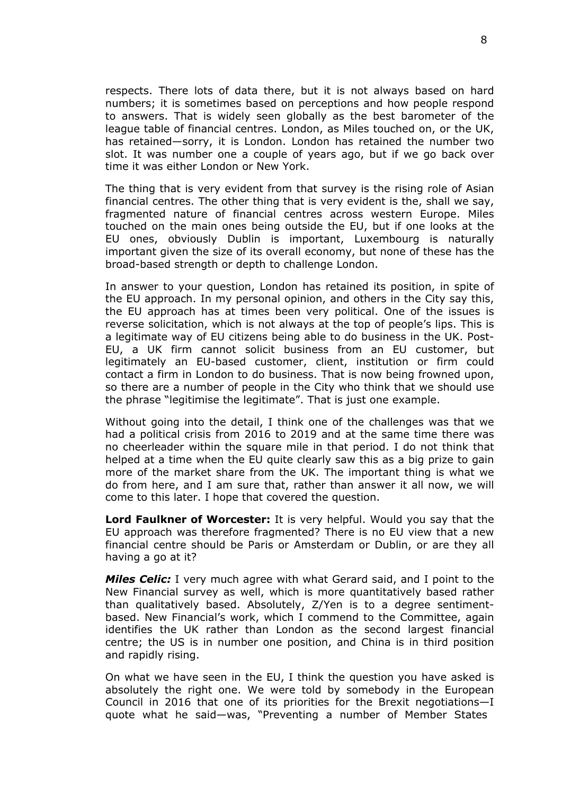respects. There lots of data there, but it is not always based on hard numbers; it is sometimes based on perceptions and how people respond to answers. That is widely seen globally as the best barometer of the league table of financial centres. London, as Miles touched on, or the UK, has retained—sorry, it is London. London has retained the number two slot. It was number one a couple of years ago, but if we go back over time it was either London or New York.

The thing that is very evident from that survey is the rising role of Asian financial centres. The other thing that is very evident is the, shall we say, fragmented nature of financial centres across western Europe. Miles touched on the main ones being outside the EU, but if one looks at the EU ones, obviously Dublin is important, Luxembourg is naturally important given the size of its overall economy, but none of these has the broad-based strength or depth to challenge London.

In answer to your question, London has retained its position, in spite of the EU approach. In my personal opinion, and others in the City say this, the EU approach has at times been very political. One of the issues is reverse solicitation, which is not always at the top of people's lips. This is a legitimate way of EU citizens being able to do business in the UK. Post-EU, a UK firm cannot solicit business from an EU customer, but legitimately an EU-based customer, client, institution or firm could contact a firm in London to do business. That is now being frowned upon, so there are a number of people in the City who think that we should use the phrase "legitimise the legitimate". That is just one example.

Without going into the detail, I think one of the challenges was that we had a political crisis from 2016 to 2019 and at the same time there was no cheerleader within the square mile in that period. I do not think that helped at a time when the EU quite clearly saw this as a big prize to gain more of the market share from the UK. The important thing is what we do from here, and I am sure that, rather than answer it all now, we will come to this later. I hope that covered the question.

**Lord Faulkner of Worcester:** It is very helpful. Would you say that the EU approach was therefore fragmented? There is no EU view that a new financial centre should be Paris or Amsterdam or Dublin, or are they all having a go at it?

*Miles Celic:* I very much agree with what Gerard said, and I point to the New Financial survey as well, which is more quantitatively based rather than qualitatively based. Absolutely, Z/Yen is to a degree sentimentbased. New Financial's work, which I commend to the Committee, again identifies the UK rather than London as the second largest financial centre; the US is in number one position, and China is in third position and rapidly rising.

On what we have seen in the EU, I think the question you have asked is absolutely the right one. We were told by somebody in the European Council in 2016 that one of its priorities for the Brexit negotiations—I quote what he said—was, "Preventing a number of Member States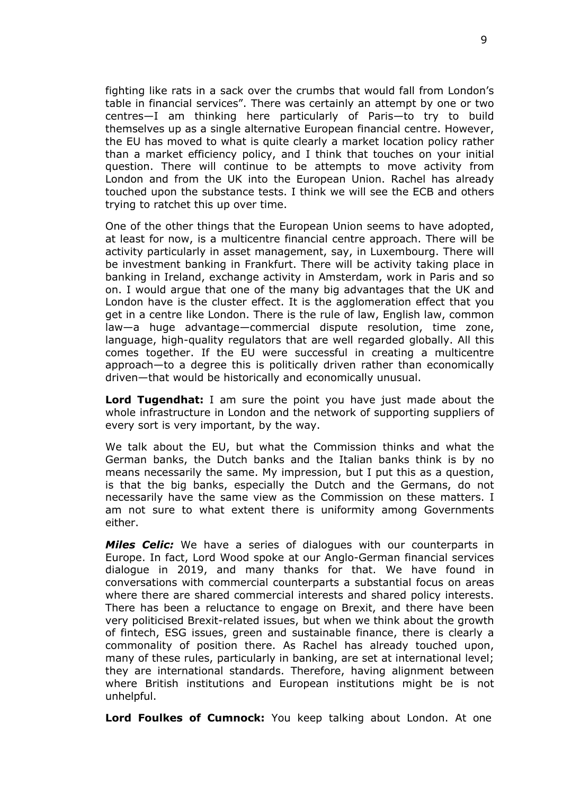fighting like rats in a sack over the crumbs that would fall from London's table in financial services". There was certainly an attempt by one or two centres—I am thinking here particularly of Paris—to try to build themselves up as a single alternative European financial centre. However, the EU has moved to what is quite clearly a market location policy rather than a market efficiency policy, and I think that touches on your initial question. There will continue to be attempts to move activity from London and from the UK into the European Union. Rachel has already touched upon the substance tests. I think we will see the ECB and others trying to ratchet this up over time.

One of the other things that the European Union seems to have adopted, at least for now, is a multicentre financial centre approach. There will be activity particularly in asset management, say, in Luxembourg. There will be investment banking in Frankfurt. There will be activity taking place in banking in Ireland, exchange activity in Amsterdam, work in Paris and so on. I would argue that one of the many big advantages that the UK and London have is the cluster effect. It is the agglomeration effect that you get in a centre like London. There is the rule of law, English law, common law—a huge advantage—commercial dispute resolution, time zone, language, high-quality regulators that are well regarded globally. All this comes together. If the EU were successful in creating a multicentre approach—to a degree this is politically driven rather than economically driven—that would be historically and economically unusual.

**Lord Tugendhat:** I am sure the point you have just made about the whole infrastructure in London and the network of supporting suppliers of every sort is very important, by the way.

We talk about the EU, but what the Commission thinks and what the German banks, the Dutch banks and the Italian banks think is by no means necessarily the same. My impression, but I put this as a question, is that the big banks, especially the Dutch and the Germans, do not necessarily have the same view as the Commission on these matters. I am not sure to what extent there is uniformity among Governments either.

*Miles Celic:* We have a series of dialogues with our counterparts in Europe. In fact, Lord Wood spoke at our Anglo-German financial services dialogue in 2019, and many thanks for that. We have found in conversations with commercial counterparts a substantial focus on areas where there are shared commercial interests and shared policy interests. There has been a reluctance to engage on Brexit, and there have been very politicised Brexit-related issues, but when we think about the growth of fintech, ESG issues, green and sustainable finance, there is clearly a commonality of position there. As Rachel has already touched upon, many of these rules, particularly in banking, are set at international level; they are international standards. Therefore, having alignment between where British institutions and European institutions might be is not unhelpful.

**Lord Foulkes of Cumnock:** You keep talking about London. At one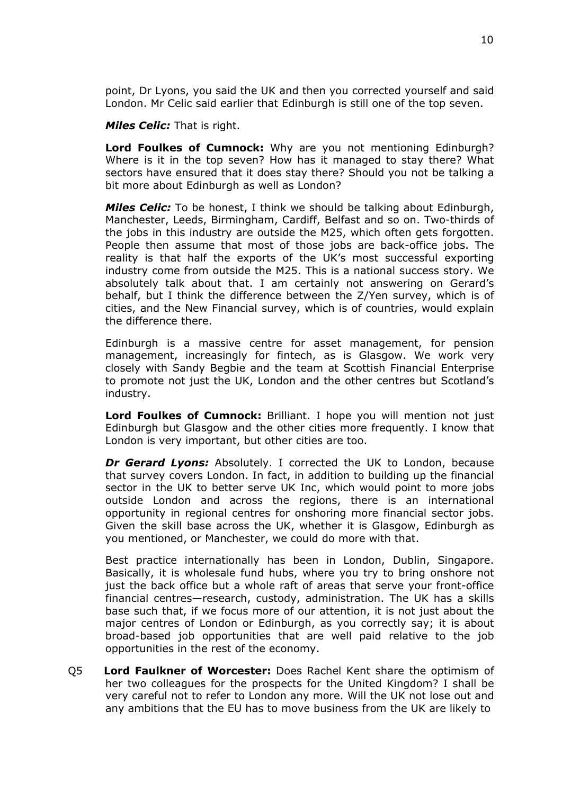point, Dr Lyons, you said the UK and then you corrected yourself and said London. Mr Celic said earlier that Edinburgh is still one of the top seven.

*Miles Celic:* That is right.

**Lord Foulkes of Cumnock:** Why are you not mentioning Edinburgh? Where is it in the top seven? How has it managed to stay there? What sectors have ensured that it does stay there? Should you not be talking a bit more about Edinburgh as well as London?

*Miles Celic:* To be honest, I think we should be talking about Edinburgh, Manchester, Leeds, Birmingham, Cardiff, Belfast and so on. Two-thirds of the jobs in this industry are outside the M25, which often gets forgotten. People then assume that most of those jobs are back-office jobs. The reality is that half the exports of the UK's most successful exporting industry come from outside the M25. This is a national success story. We absolutely talk about that. I am certainly not answering on Gerard's behalf, but I think the difference between the Z/Yen survey, which is of cities, and the New Financial survey, which is of countries, would explain the difference there.

Edinburgh is a massive centre for asset management, for pension management, increasingly for fintech, as is Glasgow. We work very closely with Sandy Begbie and the team at Scottish Financial Enterprise to promote not just the UK, London and the other centres but Scotland's industry.

**Lord Foulkes of Cumnock:** Brilliant. I hope you will mention not just Edinburgh but Glasgow and the other cities more frequently. I know that London is very important, but other cities are too.

*Dr Gerard Lyons:* Absolutely. I corrected the UK to London, because that survey covers London. In fact, in addition to building up the financial sector in the UK to better serve UK Inc, which would point to more jobs outside London and across the regions, there is an international opportunity in regional centres for onshoring more financial sector jobs. Given the skill base across the UK, whether it is Glasgow, Edinburgh as you mentioned, or Manchester, we could do more with that.

Best practice internationally has been in London, Dublin, Singapore. Basically, it is wholesale fund hubs, where you try to bring onshore not just the back office but a whole raft of areas that serve your front-office financial centres—research, custody, administration. The UK has a skills base such that, if we focus more of our attention, it is not just about the major centres of London or Edinburgh, as you correctly say; it is about broad-based job opportunities that are well paid relative to the job opportunities in the rest of the economy.

Q5 **Lord Faulkner of Worcester:** Does Rachel Kent share the optimism of her two colleagues for the prospects for the United Kingdom? I shall be very careful not to refer to London any more. Will the UK not lose out and any ambitions that the EU has to move business from the UK are likely to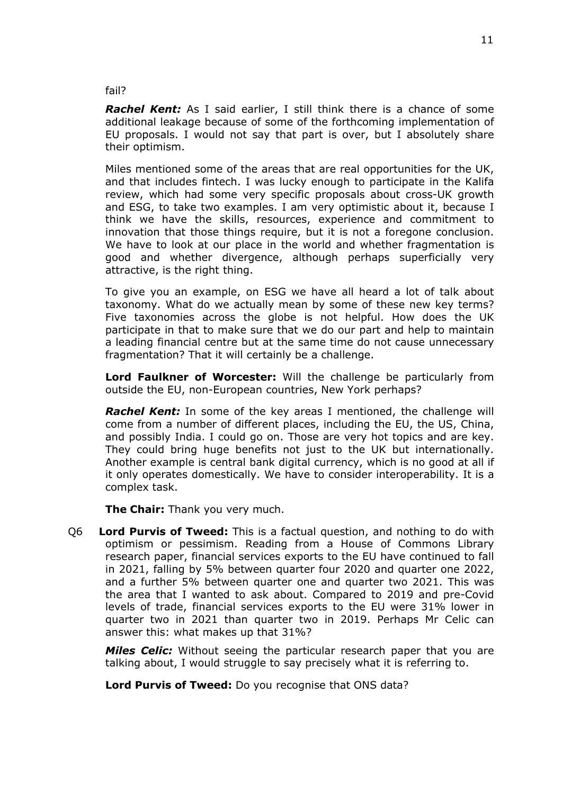#### fail?

*Rachel Kent:* As I said earlier, I still think there is a chance of some additional leakage because of some of the forthcoming implementation of EU proposals. I would not say that part is over, but I absolutely share their optimism.

Miles mentioned some of the areas that are real opportunities for the UK, and that includes fintech. I was lucky enough to participate in the Kalifa review, which had some very specific proposals about cross-UK growth and ESG, to take two examples. I am very optimistic about it, because I think we have the skills, resources, experience and commitment to innovation that those things require, but it is not a foregone conclusion. We have to look at our place in the world and whether fragmentation is good and whether divergence, although perhaps superficially very attractive, is the right thing.

To give you an example, on ESG we have all heard a lot of talk about taxonomy. What do we actually mean by some of these new key terms? Five taxonomies across the globe is not helpful. How does the UK participate in that to make sure that we do our part and help to maintain a leading financial centre but at the same time do not cause unnecessary fragmentation? That it will certainly be a challenge.

**Lord Faulkner of Worcester:** Will the challenge be particularly from outside the EU, non-European countries, New York perhaps?

*Rachel Kent:* In some of the key areas I mentioned, the challenge will come from a number of different places, including the EU, the US, China, and possibly India. I could go on. Those are very hot topics and are key. They could bring huge benefits not just to the UK but internationally. Another example is central bank digital currency, which is no good at all if it only operates domestically. We have to consider interoperability. It is a complex task.

**The Chair:** Thank you very much.

Q6 **Lord Purvis of Tweed:** This is a factual question, and nothing to do with optimism or pessimism. Reading from a House of Commons Library research paper, financial services exports to the EU have continued to fall in 2021, falling by 5% between quarter four 2020 and quarter one 2022, and a further 5% between quarter one and quarter two 2021. This was the area that I wanted to ask about. Compared to 2019 and pre-Covid levels of trade, financial services exports to the EU were 31% lower in quarter two in 2021 than quarter two in 2019. Perhaps Mr Celic can answer this: what makes up that 31%?

*Miles Celic:* Without seeing the particular research paper that you are talking about, I would struggle to say precisely what it is referring to.

**Lord Purvis of Tweed:** Do you recognise that ONS data?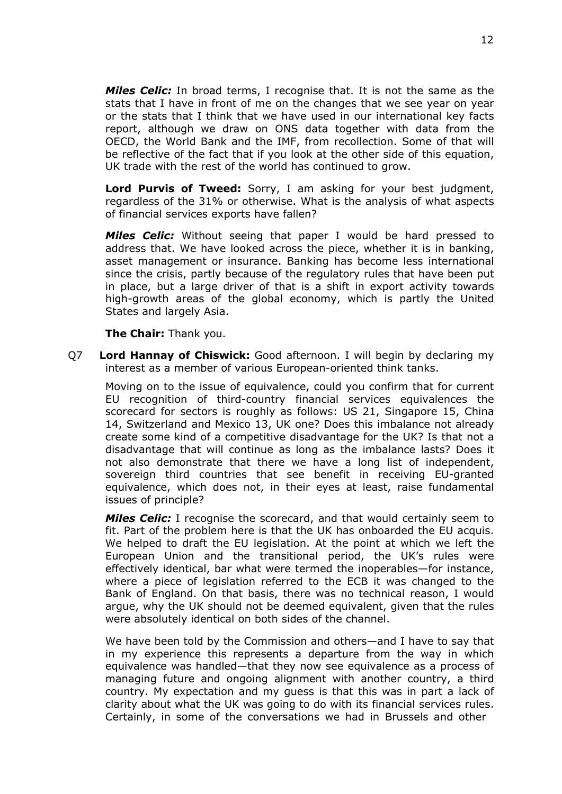*Miles Celic:* In broad terms, I recognise that. It is not the same as the stats that I have in front of me on the changes that we see year on year or the stats that I think that we have used in our international key facts report, although we draw on ONS data together with data from the OECD, the World Bank and the IMF, from recollection. Some of that will be reflective of the fact that if you look at the other side of this equation, UK trade with the rest of the world has continued to grow.

**Lord Purvis of Tweed:** Sorry, I am asking for your best judgment, regardless of the 31% or otherwise. What is the analysis of what aspects of financial services exports have fallen?

*Miles Celic:* Without seeing that paper I would be hard pressed to address that. We have looked across the piece, whether it is in banking, asset management or insurance. Banking has become less international since the crisis, partly because of the regulatory rules that have been put in place, but a large driver of that is a shift in export activity towards high-growth areas of the global economy, which is partly the United States and largely Asia.

**The Chair:** Thank you.

Q7 **Lord Hannay of Chiswick:** Good afternoon. I will begin by declaring my interest as a member of various European-oriented think tanks.

Moving on to the issue of equivalence, could you confirm that for current EU recognition of third-country financial services equivalences the scorecard for sectors is roughly as follows: US 21, Singapore 15, China 14, Switzerland and Mexico 13, UK one? Does this imbalance not already create some kind of a competitive disadvantage for the UK? Is that not a disadvantage that will continue as long as the imbalance lasts? Does it not also demonstrate that there we have a long list of independent, sovereign third countries that see benefit in receiving EU-granted equivalence, which does not, in their eyes at least, raise fundamental issues of principle?

*Miles Celic:* I recognise the scorecard, and that would certainly seem to fit. Part of the problem here is that the UK has onboarded the EU acquis. We helped to draft the EU legislation. At the point at which we left the European Union and the transitional period, the UK's rules were effectively identical, bar what were termed the inoperables—for instance, where a piece of legislation referred to the ECB it was changed to the Bank of England. On that basis, there was no technical reason, I would argue, why the UK should not be deemed equivalent, given that the rules were absolutely identical on both sides of the channel.

We have been told by the Commission and others—and I have to say that in my experience this represents a departure from the way in which equivalence was handled—that they now see equivalence as a process of managing future and ongoing alignment with another country, a third country. My expectation and my guess is that this was in part a lack of clarity about what the UK was going to do with its financial services rules. Certainly, in some of the conversations we had in Brussels and other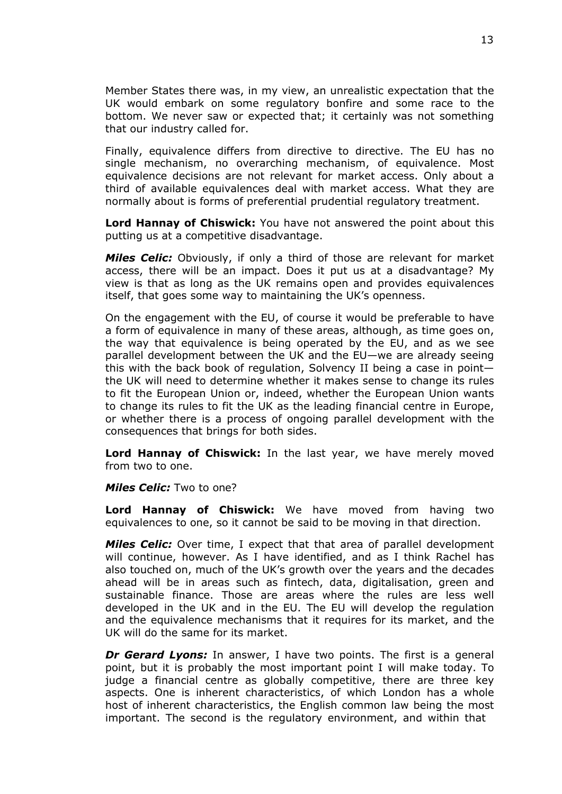Member States there was, in my view, an unrealistic expectation that the UK would embark on some regulatory bonfire and some race to the bottom. We never saw or expected that; it certainly was not something that our industry called for.

Finally, equivalence differs from directive to directive. The EU has no single mechanism, no overarching mechanism, of equivalence. Most equivalence decisions are not relevant for market access. Only about a third of available equivalences deal with market access. What they are normally about is forms of preferential prudential regulatory treatment.

**Lord Hannay of Chiswick:** You have not answered the point about this putting us at a competitive disadvantage.

*Miles Celic:* Obviously, if only a third of those are relevant for market access, there will be an impact. Does it put us at a disadvantage? My view is that as long as the UK remains open and provides equivalences itself, that goes some way to maintaining the UK's openness.

On the engagement with the EU, of course it would be preferable to have a form of equivalence in many of these areas, although, as time goes on, the way that equivalence is being operated by the EU, and as we see parallel development between the UK and the EU—we are already seeing this with the back book of regulation, Solvency II being a case in point the UK will need to determine whether it makes sense to change its rules to fit the European Union or, indeed, whether the European Union wants to change its rules to fit the UK as the leading financial centre in Europe, or whether there is a process of ongoing parallel development with the consequences that brings for both sides.

**Lord Hannay of Chiswick:** In the last year, we have merely moved from two to one.

#### *Miles Celic:* Two to one?

**Lord Hannay of Chiswick:** We have moved from having two equivalences to one, so it cannot be said to be moving in that direction.

*Miles Celic:* Over time, I expect that that area of parallel development will continue, however. As I have identified, and as I think Rachel has also touched on, much of the UK's growth over the years and the decades ahead will be in areas such as fintech, data, digitalisation, green and sustainable finance. Those are areas where the rules are less well developed in the UK and in the EU. The EU will develop the regulation and the equivalence mechanisms that it requires for its market, and the UK will do the same for its market.

*Dr Gerard Lyons:* In answer, I have two points. The first is a general point, but it is probably the most important point I will make today. To judge a financial centre as globally competitive, there are three key aspects. One is inherent characteristics, of which London has a whole host of inherent characteristics, the English common law being the most important. The second is the regulatory environment, and within that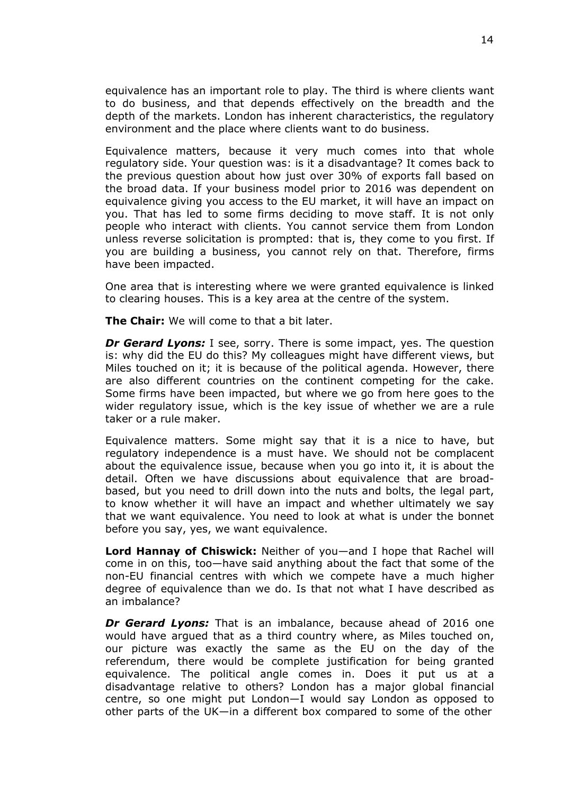equivalence has an important role to play. The third is where clients want to do business, and that depends effectively on the breadth and the depth of the markets. London has inherent characteristics, the regulatory environment and the place where clients want to do business.

Equivalence matters, because it very much comes into that whole regulatory side. Your question was: is it a disadvantage? It comes back to the previous question about how just over 30% of exports fall based on the broad data. If your business model prior to 2016 was dependent on equivalence giving you access to the EU market, it will have an impact on you. That has led to some firms deciding to move staff. It is not only people who interact with clients. You cannot service them from London unless reverse solicitation is prompted: that is, they come to you first. If you are building a business, you cannot rely on that. Therefore, firms have been impacted.

One area that is interesting where we were granted equivalence is linked to clearing houses. This is a key area at the centre of the system.

**The Chair:** We will come to that a bit later.

*Dr Gerard Lyons:* I see, sorry. There is some impact, yes. The question is: why did the EU do this? My colleagues might have different views, but Miles touched on it; it is because of the political agenda. However, there are also different countries on the continent competing for the cake. Some firms have been impacted, but where we go from here goes to the wider regulatory issue, which is the key issue of whether we are a rule taker or a rule maker.

Equivalence matters. Some might say that it is a nice to have, but regulatory independence is a must have. We should not be complacent about the equivalence issue, because when you go into it, it is about the detail. Often we have discussions about equivalence that are broadbased, but you need to drill down into the nuts and bolts, the legal part, to know whether it will have an impact and whether ultimately we say that we want equivalence. You need to look at what is under the bonnet before you say, yes, we want equivalence.

**Lord Hannay of Chiswick:** Neither of you—and I hope that Rachel will come in on this, too—have said anything about the fact that some of the non-EU financial centres with which we compete have a much higher degree of equivalence than we do. Is that not what I have described as an imbalance?

*Dr Gerard Lyons:* That is an imbalance, because ahead of 2016 one would have argued that as a third country where, as Miles touched on, our picture was exactly the same as the EU on the day of the referendum, there would be complete justification for being granted equivalence. The political angle comes in. Does it put us at a disadvantage relative to others? London has a major global financial centre, so one might put London—I would say London as opposed to other parts of the UK—in a different box compared to some of the other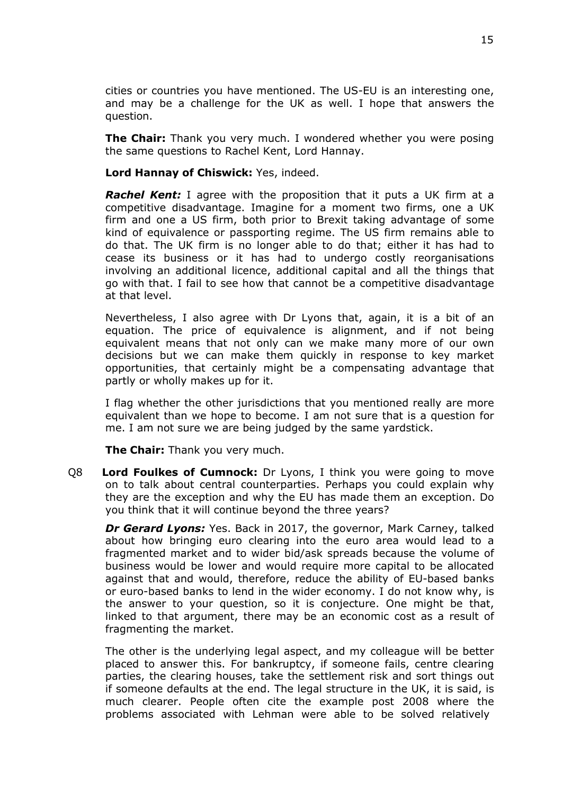cities or countries you have mentioned. The US-EU is an interesting one, and may be a challenge for the UK as well. I hope that answers the question.

**The Chair:** Thank you very much. I wondered whether you were posing the same questions to Rachel Kent, Lord Hannay.

#### **Lord Hannay of Chiswick:** Yes, indeed.

*Rachel Kent:* I agree with the proposition that it puts a UK firm at a competitive disadvantage. Imagine for a moment two firms, one a UK firm and one a US firm, both prior to Brexit taking advantage of some kind of equivalence or passporting regime. The US firm remains able to do that. The UK firm is no longer able to do that; either it has had to cease its business or it has had to undergo costly reorganisations involving an additional licence, additional capital and all the things that go with that. I fail to see how that cannot be a competitive disadvantage at that level.

Nevertheless, I also agree with Dr Lyons that, again, it is a bit of an equation. The price of equivalence is alignment, and if not being equivalent means that not only can we make many more of our own decisions but we can make them quickly in response to key market opportunities, that certainly might be a compensating advantage that partly or wholly makes up for it.

I flag whether the other jurisdictions that you mentioned really are more equivalent than we hope to become. I am not sure that is a question for me. I am not sure we are being judged by the same yardstick.

**The Chair:** Thank you very much.

Q8 **Lord Foulkes of Cumnock:** Dr Lyons, I think you were going to move on to talk about central counterparties. Perhaps you could explain why they are the exception and why the EU has made them an exception. Do you think that it will continue beyond the three years?

*Dr Gerard Lyons:* Yes. Back in 2017, the governor, Mark Carney, talked about how bringing euro clearing into the euro area would lead to a fragmented market and to wider bid/ask spreads because the volume of business would be lower and would require more capital to be allocated against that and would, therefore, reduce the ability of EU-based banks or euro-based banks to lend in the wider economy. I do not know why, is the answer to your question, so it is conjecture. One might be that, linked to that argument, there may be an economic cost as a result of fragmenting the market.

The other is the underlying legal aspect, and my colleague will be better placed to answer this. For bankruptcy, if someone fails, centre clearing parties, the clearing houses, take the settlement risk and sort things out if someone defaults at the end. The legal structure in the UK, it is said, is much clearer. People often cite the example post 2008 where the problems associated with Lehman were able to be solved relatively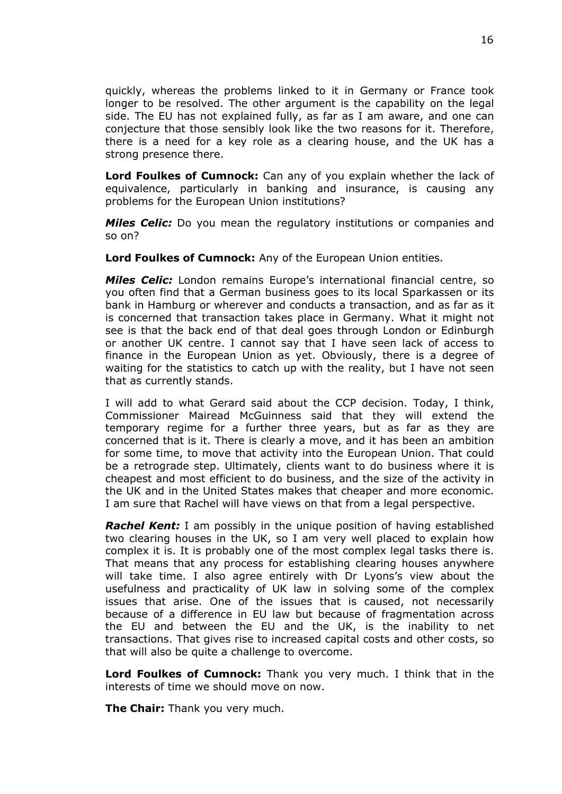quickly, whereas the problems linked to it in Germany or France took longer to be resolved. The other argument is the capability on the legal side. The EU has not explained fully, as far as I am aware, and one can conjecture that those sensibly look like the two reasons for it. Therefore, there is a need for a key role as a clearing house, and the UK has a strong presence there.

**Lord Foulkes of Cumnock:** Can any of you explain whether the lack of equivalence, particularly in banking and insurance, is causing any problems for the European Union institutions?

*Miles Celic:* Do you mean the regulatory institutions or companies and so on?

**Lord Foulkes of Cumnock:** Any of the European Union entities.

*Miles Celic:* London remains Europe's international financial centre, so you often find that a German business goes to its local Sparkassen or its bank in Hamburg or wherever and conducts a transaction, and as far as it is concerned that transaction takes place in Germany. What it might not see is that the back end of that deal goes through London or Edinburgh or another UK centre. I cannot say that I have seen lack of access to finance in the European Union as yet. Obviously, there is a degree of waiting for the statistics to catch up with the reality, but I have not seen that as currently stands.

I will add to what Gerard said about the CCP decision. Today, I think, Commissioner Mairead McGuinness said that they will extend the temporary regime for a further three years, but as far as they are concerned that is it. There is clearly a move, and it has been an ambition for some time, to move that activity into the European Union. That could be a retrograde step. Ultimately, clients want to do business where it is cheapest and most efficient to do business, and the size of the activity in the UK and in the United States makes that cheaper and more economic. I am sure that Rachel will have views on that from a legal perspective.

*Rachel Kent:* I am possibly in the unique position of having established two clearing houses in the UK, so I am very well placed to explain how complex it is. It is probably one of the most complex legal tasks there is. That means that any process for establishing clearing houses anywhere will take time. I also agree entirely with Dr Lyons's view about the usefulness and practicality of UK law in solving some of the complex issues that arise. One of the issues that is caused, not necessarily because of a difference in EU law but because of fragmentation across the EU and between the EU and the UK, is the inability to net transactions. That gives rise to increased capital costs and other costs, so that will also be quite a challenge to overcome.

**Lord Foulkes of Cumnock:** Thank you very much. I think that in the interests of time we should move on now.

**The Chair:** Thank you very much.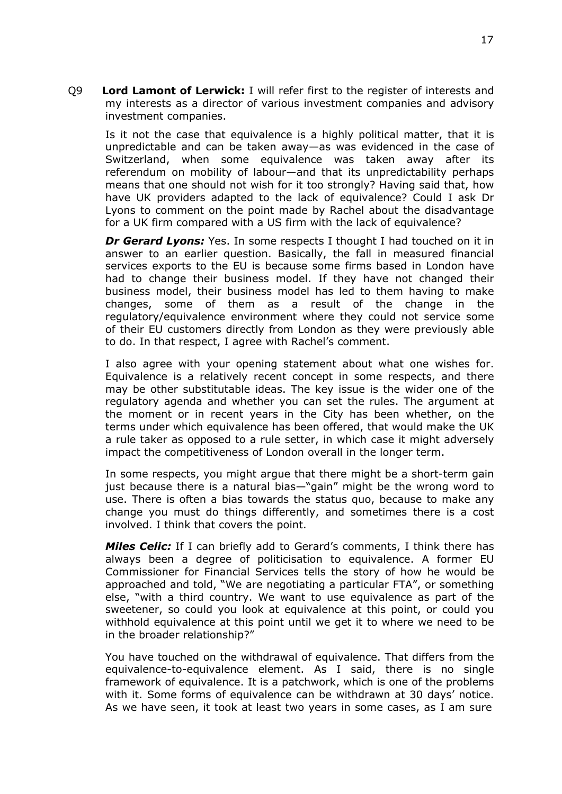Q9 **Lord Lamont of Lerwick:** I will refer first to the register of interests and my interests as a director of various investment companies and advisory investment companies.

Is it not the case that equivalence is a highly political matter, that it is unpredictable and can be taken away—as was evidenced in the case of Switzerland, when some equivalence was taken away after its referendum on mobility of labour—and that its unpredictability perhaps means that one should not wish for it too strongly? Having said that, how have UK providers adapted to the lack of equivalence? Could I ask Dr Lyons to comment on the point made by Rachel about the disadvantage for a UK firm compared with a US firm with the lack of equivalence?

*Dr Gerard Lyons:* Yes. In some respects I thought I had touched on it in answer to an earlier question. Basically, the fall in measured financial services exports to the EU is because some firms based in London have had to change their business model. If they have not changed their business model, their business model has led to them having to make changes, some of them as a result of the change in the regulatory/equivalence environment where they could not service some of their EU customers directly from London as they were previously able to do. In that respect, I agree with Rachel's comment.

I also agree with your opening statement about what one wishes for. Equivalence is a relatively recent concept in some respects, and there may be other substitutable ideas. The key issue is the wider one of the regulatory agenda and whether you can set the rules. The argument at the moment or in recent years in the City has been whether, on the terms under which equivalence has been offered, that would make the UK a rule taker as opposed to a rule setter, in which case it might adversely impact the competitiveness of London overall in the longer term.

In some respects, you might argue that there might be a short-term gain just because there is a natural bias—"gain" might be the wrong word to use. There is often a bias towards the status quo, because to make any change you must do things differently, and sometimes there is a cost involved. I think that covers the point.

*Miles Celic:* If I can briefly add to Gerard's comments, I think there has always been a degree of politicisation to equivalence. A former EU Commissioner for Financial Services tells the story of how he would be approached and told, "We are negotiating a particular FTA", or something else, "with a third country. We want to use equivalence as part of the sweetener, so could you look at equivalence at this point, or could you withhold equivalence at this point until we get it to where we need to be in the broader relationship?"

You have touched on the withdrawal of equivalence. That differs from the equivalence-to-equivalence element. As I said, there is no single framework of equivalence. It is a patchwork, which is one of the problems with it. Some forms of equivalence can be withdrawn at 30 days' notice. As we have seen, it took at least two years in some cases, as I am sure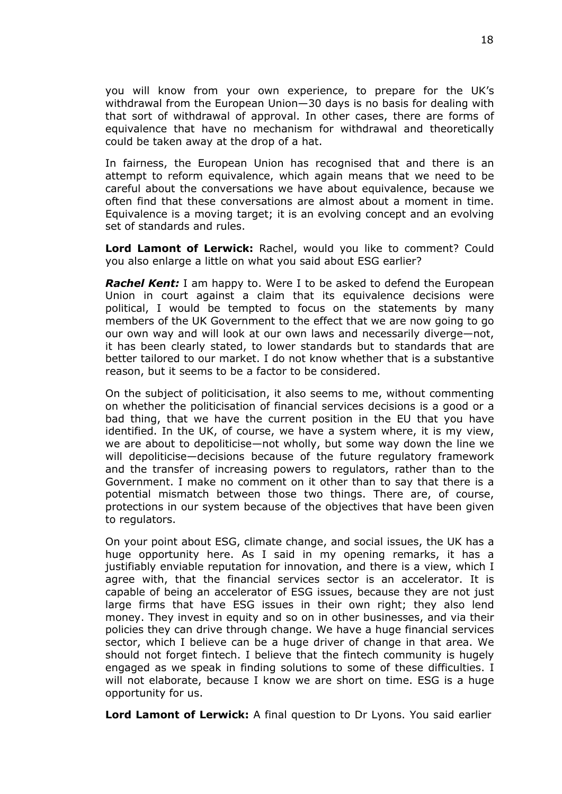you will know from your own experience, to prepare for the UK's withdrawal from the European Union—30 days is no basis for dealing with that sort of withdrawal of approval. In other cases, there are forms of equivalence that have no mechanism for withdrawal and theoretically could be taken away at the drop of a hat.

In fairness, the European Union has recognised that and there is an attempt to reform equivalence, which again means that we need to be careful about the conversations we have about equivalence, because we often find that these conversations are almost about a moment in time. Equivalence is a moving target; it is an evolving concept and an evolving set of standards and rules.

**Lord Lamont of Lerwick:** Rachel, would you like to comment? Could you also enlarge a little on what you said about ESG earlier?

*Rachel Kent:* I am happy to. Were I to be asked to defend the European Union in court against a claim that its equivalence decisions were political, I would be tempted to focus on the statements by many members of the UK Government to the effect that we are now going to go our own way and will look at our own laws and necessarily diverge—not, it has been clearly stated, to lower standards but to standards that are better tailored to our market. I do not know whether that is a substantive reason, but it seems to be a factor to be considered.

On the subject of politicisation, it also seems to me, without commenting on whether the politicisation of financial services decisions is a good or a bad thing, that we have the current position in the EU that you have identified. In the UK, of course, we have a system where, it is my view, we are about to depoliticise—not wholly, but some way down the line we will depoliticise—decisions because of the future regulatory framework and the transfer of increasing powers to regulators, rather than to the Government. I make no comment on it other than to say that there is a potential mismatch between those two things. There are, of course, protections in our system because of the objectives that have been given to regulators.

On your point about ESG, climate change, and social issues, the UK has a huge opportunity here. As I said in my opening remarks, it has a justifiably enviable reputation for innovation, and there is a view, which I agree with, that the financial services sector is an accelerator. It is capable of being an accelerator of ESG issues, because they are not just large firms that have ESG issues in their own right; they also lend money. They invest in equity and so on in other businesses, and via their policies they can drive through change. We have a huge financial services sector, which I believe can be a huge driver of change in that area. We should not forget fintech. I believe that the fintech community is hugely engaged as we speak in finding solutions to some of these difficulties. I will not elaborate, because I know we are short on time. ESG is a huge opportunity for us.

**Lord Lamont of Lerwick:** A final question to Dr Lyons. You said earlier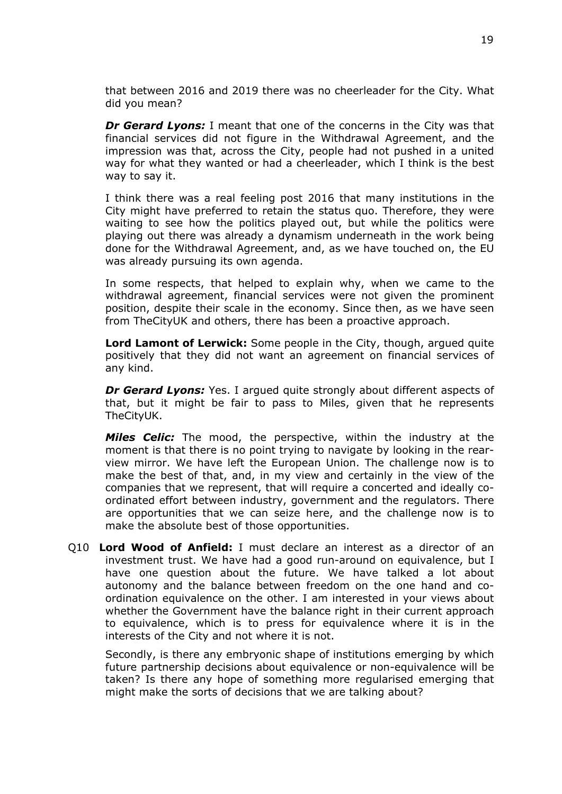that between 2016 and 2019 there was no cheerleader for the City. What did you mean?

*Dr Gerard Lyons:* I meant that one of the concerns in the City was that financial services did not figure in the Withdrawal Agreement, and the impression was that, across the City, people had not pushed in a united way for what they wanted or had a cheerleader, which I think is the best way to say it.

I think there was a real feeling post 2016 that many institutions in the City might have preferred to retain the status quo. Therefore, they were waiting to see how the politics played out, but while the politics were playing out there was already a dynamism underneath in the work being done for the Withdrawal Agreement, and, as we have touched on, the EU was already pursuing its own agenda.

In some respects, that helped to explain why, when we came to the withdrawal agreement, financial services were not given the prominent position, despite their scale in the economy. Since then, as we have seen from TheCityUK and others, there has been a proactive approach.

**Lord Lamont of Lerwick:** Some people in the City, though, argued quite positively that they did not want an agreement on financial services of any kind.

*Dr Gerard Lyons:* Yes. I argued quite strongly about different aspects of that, but it might be fair to pass to Miles, given that he represents TheCityUK.

*Miles Celic:* The mood, the perspective, within the industry at the moment is that there is no point trying to navigate by looking in the rearview mirror. We have left the European Union. The challenge now is to make the best of that, and, in my view and certainly in the view of the companies that we represent, that will require a concerted and ideally coordinated effort between industry, government and the regulators. There are opportunities that we can seize here, and the challenge now is to make the absolute best of those opportunities.

Q10 **Lord Wood of Anfield:** I must declare an interest as a director of an investment trust. We have had a good run-around on equivalence, but I have one question about the future. We have talked a lot about autonomy and the balance between freedom on the one hand and coordination equivalence on the other. I am interested in your views about whether the Government have the balance right in their current approach to equivalence, which is to press for equivalence where it is in the interests of the City and not where it is not.

Secondly, is there any embryonic shape of institutions emerging by which future partnership decisions about equivalence or non-equivalence will be taken? Is there any hope of something more regularised emerging that might make the sorts of decisions that we are talking about?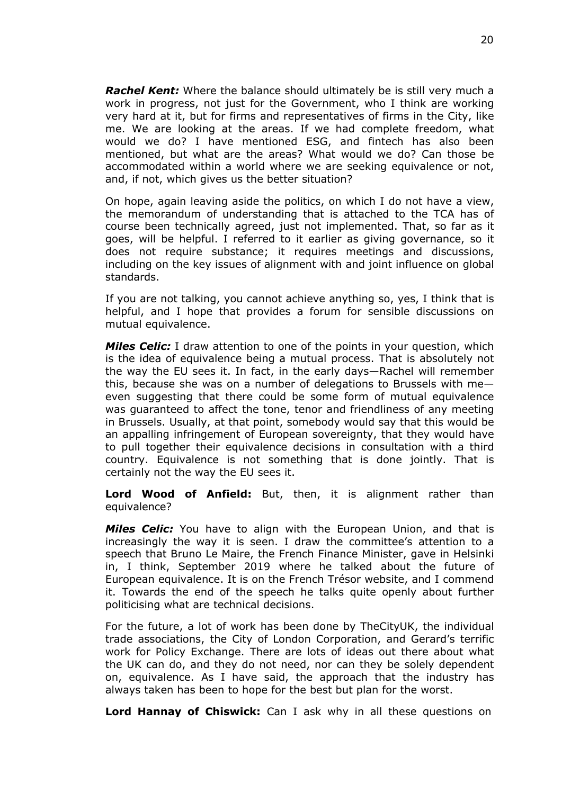*Rachel Kent:* Where the balance should ultimately be is still very much a work in progress, not just for the Government, who I think are working very hard at it, but for firms and representatives of firms in the City, like me. We are looking at the areas. If we had complete freedom, what would we do? I have mentioned ESG, and fintech has also been mentioned, but what are the areas? What would we do? Can those be accommodated within a world where we are seeking equivalence or not, and, if not, which gives us the better situation?

On hope, again leaving aside the politics, on which I do not have a view, the memorandum of understanding that is attached to the TCA has of course been technically agreed, just not implemented. That, so far as it goes, will be helpful. I referred to it earlier as giving governance, so it does not require substance; it requires meetings and discussions, including on the key issues of alignment with and joint influence on global standards.

If you are not talking, you cannot achieve anything so, yes, I think that is helpful, and I hope that provides a forum for sensible discussions on mutual equivalence.

*Miles Celic:* I draw attention to one of the points in your question, which is the idea of equivalence being a mutual process. That is absolutely not the way the EU sees it. In fact, in the early days—Rachel will remember this, because she was on a number of delegations to Brussels with me even suggesting that there could be some form of mutual equivalence was guaranteed to affect the tone, tenor and friendliness of any meeting in Brussels. Usually, at that point, somebody would say that this would be an appalling infringement of European sovereignty, that they would have to pull together their equivalence decisions in consultation with a third country. Equivalence is not something that is done jointly. That is certainly not the way the EU sees it.

**Lord Wood of Anfield:** But, then, it is alignment rather than equivalence?

*Miles Celic:* You have to align with the European Union, and that is increasingly the way it is seen. I draw the committee's attention to a speech that Bruno Le Maire, the French Finance Minister, gave in Helsinki in, I think, September 2019 where he talked about the future of European equivalence. It is on the French Trésor website, and I commend it. Towards the end of the speech he talks quite openly about further politicising what are technical decisions.

For the future, a lot of work has been done by TheCityUK, the individual trade associations, the City of London Corporation, and Gerard's terrific work for Policy Exchange. There are lots of ideas out there about what the UK can do, and they do not need, nor can they be solely dependent on, equivalence. As I have said, the approach that the industry has always taken has been to hope for the best but plan for the worst.

**Lord Hannay of Chiswick:** Can I ask why in all these questions on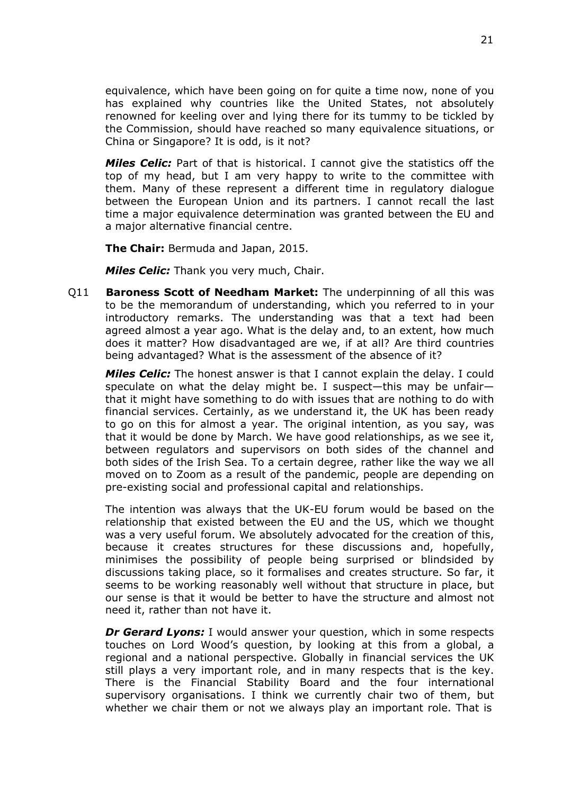equivalence, which have been going on for quite a time now, none of you has explained why countries like the United States, not absolutely renowned for keeling over and lying there for its tummy to be tickled by the Commission, should have reached so many equivalence situations, or China or Singapore? It is odd, is it not?

*Miles Celic:* Part of that is historical. I cannot give the statistics off the top of my head, but I am very happy to write to the committee with them. Many of these represent a different time in regulatory dialogue between the European Union and its partners. I cannot recall the last time a major equivalence determination was granted between the EU and a major alternative financial centre.

**The Chair:** Bermuda and Japan, 2015.

*Miles Celic:* Thank you very much, Chair.

Q11 **Baroness Scott of Needham Market:** The underpinning of all this was to be the memorandum of understanding, which you referred to in your introductory remarks. The understanding was that a text had been agreed almost a year ago. What is the delay and, to an extent, how much does it matter? How disadvantaged are we, if at all? Are third countries being advantaged? What is the assessment of the absence of it?

*Miles Celic:* The honest answer is that I cannot explain the delay. I could speculate on what the delay might be. I suspect—this may be unfair that it might have something to do with issues that are nothing to do with financial services. Certainly, as we understand it, the UK has been ready to go on this for almost a year. The original intention, as you say, was that it would be done by March. We have good relationships, as we see it, between regulators and supervisors on both sides of the channel and both sides of the Irish Sea. To a certain degree, rather like the way we all moved on to Zoom as a result of the pandemic, people are depending on pre-existing social and professional capital and relationships.

The intention was always that the UK-EU forum would be based on the relationship that existed between the EU and the US, which we thought was a very useful forum. We absolutely advocated for the creation of this, because it creates structures for these discussions and, hopefully, minimises the possibility of people being surprised or blindsided by discussions taking place, so it formalises and creates structure. So far, it seems to be working reasonably well without that structure in place, but our sense is that it would be better to have the structure and almost not need it, rather than not have it.

*Dr Gerard Lyons:* I would answer your question, which in some respects touches on Lord Wood's question, by looking at this from a global, a regional and a national perspective. Globally in financial services the UK still plays a very important role, and in many respects that is the key. There is the Financial Stability Board and the four international supervisory organisations. I think we currently chair two of them, but whether we chair them or not we always play an important role. That is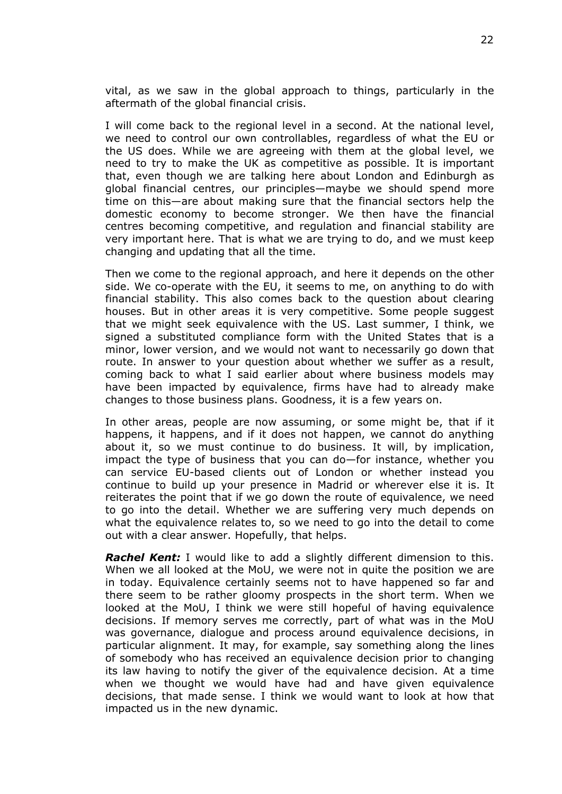vital, as we saw in the global approach to things, particularly in the aftermath of the global financial crisis.

I will come back to the regional level in a second. At the national level, we need to control our own controllables, regardless of what the EU or the US does. While we are agreeing with them at the global level, we need to try to make the UK as competitive as possible. It is important that, even though we are talking here about London and Edinburgh as global financial centres, our principles—maybe we should spend more time on this—are about making sure that the financial sectors help the domestic economy to become stronger. We then have the financial centres becoming competitive, and regulation and financial stability are very important here. That is what we are trying to do, and we must keep changing and updating that all the time.

Then we come to the regional approach, and here it depends on the other side. We co-operate with the EU, it seems to me, on anything to do with financial stability. This also comes back to the question about clearing houses. But in other areas it is very competitive. Some people suggest that we might seek equivalence with the US. Last summer, I think, we signed a substituted compliance form with the United States that is a minor, lower version, and we would not want to necessarily go down that route. In answer to your question about whether we suffer as a result, coming back to what I said earlier about where business models may have been impacted by equivalence, firms have had to already make changes to those business plans. Goodness, it is a few years on.

In other areas, people are now assuming, or some might be, that if it happens, it happens, and if it does not happen, we cannot do anything about it, so we must continue to do business. It will, by implication, impact the type of business that you can do—for instance, whether you can service EU-based clients out of London or whether instead you continue to build up your presence in Madrid or wherever else it is. It reiterates the point that if we go down the route of equivalence, we need to go into the detail. Whether we are suffering very much depends on what the equivalence relates to, so we need to go into the detail to come out with a clear answer. Hopefully, that helps.

*Rachel Kent:* I would like to add a slightly different dimension to this. When we all looked at the MoU, we were not in quite the position we are in today. Equivalence certainly seems not to have happened so far and there seem to be rather gloomy prospects in the short term. When we looked at the MoU, I think we were still hopeful of having equivalence decisions. If memory serves me correctly, part of what was in the MoU was governance, dialogue and process around equivalence decisions, in particular alignment. It may, for example, say something along the lines of somebody who has received an equivalence decision prior to changing its law having to notify the giver of the equivalence decision. At a time when we thought we would have had and have given equivalence decisions, that made sense. I think we would want to look at how that impacted us in the new dynamic.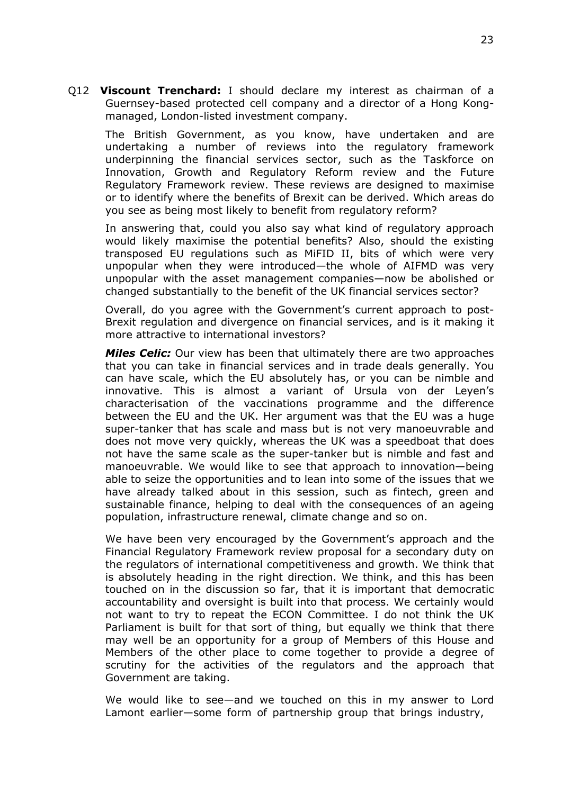Q12 **Viscount Trenchard:** I should declare my interest as chairman of a Guernsey-based protected cell company and a director of a Hong Kongmanaged, London-listed investment company.

The British Government, as you know, have undertaken and are undertaking a number of reviews into the regulatory framework underpinning the financial services sector, such as the Taskforce on Innovation, Growth and Regulatory Reform review and the Future Regulatory Framework review. These reviews are designed to maximise or to identify where the benefits of Brexit can be derived. Which areas do you see as being most likely to benefit from regulatory reform?

In answering that, could you also say what kind of regulatory approach would likely maximise the potential benefits? Also, should the existing transposed EU regulations such as MiFID II, bits of which were very unpopular when they were introduced—the whole of AIFMD was very unpopular with the asset management companies—now be abolished or changed substantially to the benefit of the UK financial services sector?

Overall, do you agree with the Government's current approach to post-Brexit regulation and divergence on financial services, and is it making it more attractive to international investors?

*Miles Celic:* Our view has been that ultimately there are two approaches that you can take in financial services and in trade deals generally. You can have scale, which the EU absolutely has, or you can be nimble and innovative. This is almost a variant of Ursula von der Leyen's characterisation of the vaccinations programme and the difference between the EU and the UK. Her argument was that the EU was a huge super-tanker that has scale and mass but is not very manoeuvrable and does not move very quickly, whereas the UK was a speedboat that does not have the same scale as the super-tanker but is nimble and fast and manoeuvrable. We would like to see that approach to innovation—being able to seize the opportunities and to lean into some of the issues that we have already talked about in this session, such as fintech, green and sustainable finance, helping to deal with the consequences of an ageing population, infrastructure renewal, climate change and so on.

We have been very encouraged by the Government's approach and the Financial Regulatory Framework review proposal for a secondary duty on the regulators of international competitiveness and growth. We think that is absolutely heading in the right direction. We think, and this has been touched on in the discussion so far, that it is important that democratic accountability and oversight is built into that process. We certainly would not want to try to repeat the ECON Committee. I do not think the UK Parliament is built for that sort of thing, but equally we think that there may well be an opportunity for a group of Members of this House and Members of the other place to come together to provide a degree of scrutiny for the activities of the regulators and the approach that Government are taking.

We would like to see—and we touched on this in my answer to Lord Lamont earlier—some form of partnership group that brings industry,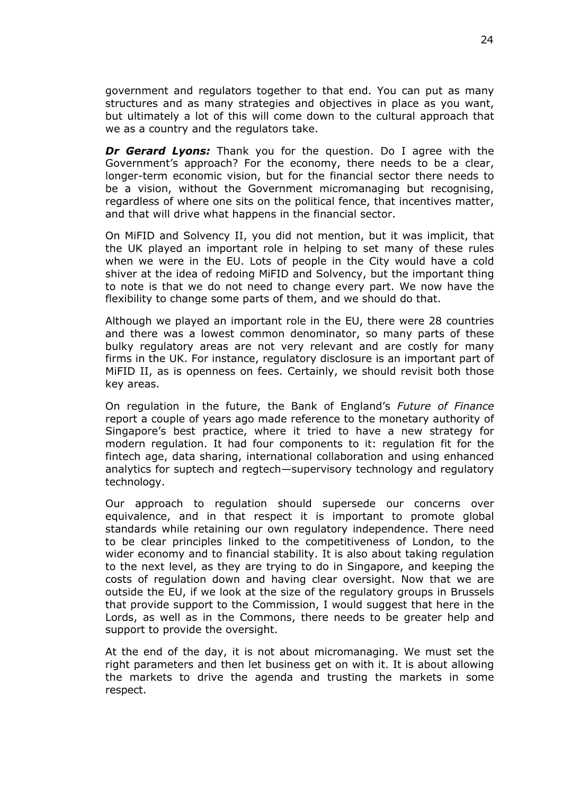government and regulators together to that end. You can put as many structures and as many strategies and objectives in place as you want, but ultimately a lot of this will come down to the cultural approach that we as a country and the regulators take.

*Dr Gerard Lyons:* Thank you for the question. Do I agree with the Government's approach? For the economy, there needs to be a clear, longer-term economic vision, but for the financial sector there needs to be a vision, without the Government micromanaging but recognising, regardless of where one sits on the political fence, that incentives matter, and that will drive what happens in the financial sector.

On MiFID and Solvency II, you did not mention, but it was implicit, that the UK played an important role in helping to set many of these rules when we were in the EU. Lots of people in the City would have a cold shiver at the idea of redoing MiFID and Solvency, but the important thing to note is that we do not need to change every part. We now have the flexibility to change some parts of them, and we should do that.

Although we played an important role in the EU, there were 28 countries and there was a lowest common denominator, so many parts of these bulky regulatory areas are not very relevant and are costly for many firms in the UK. For instance, regulatory disclosure is an important part of MiFID II, as is openness on fees. Certainly, we should revisit both those key areas.

On regulation in the future, the Bank of England's *Future of Finance* report a couple of years ago made reference to the monetary authority of Singapore's best practice, where it tried to have a new strategy for modern regulation. It had four components to it: regulation fit for the fintech age, data sharing, international collaboration and using enhanced analytics for suptech and regtech—supervisory technology and regulatory technology.

Our approach to regulation should supersede our concerns over equivalence, and in that respect it is important to promote global standards while retaining our own regulatory independence. There need to be clear principles linked to the competitiveness of London, to the wider economy and to financial stability. It is also about taking regulation to the next level, as they are trying to do in Singapore, and keeping the costs of regulation down and having clear oversight. Now that we are outside the EU, if we look at the size of the regulatory groups in Brussels that provide support to the Commission, I would suggest that here in the Lords, as well as in the Commons, there needs to be greater help and support to provide the oversight.

At the end of the day, it is not about micromanaging. We must set the right parameters and then let business get on with it. It is about allowing the markets to drive the agenda and trusting the markets in some respect.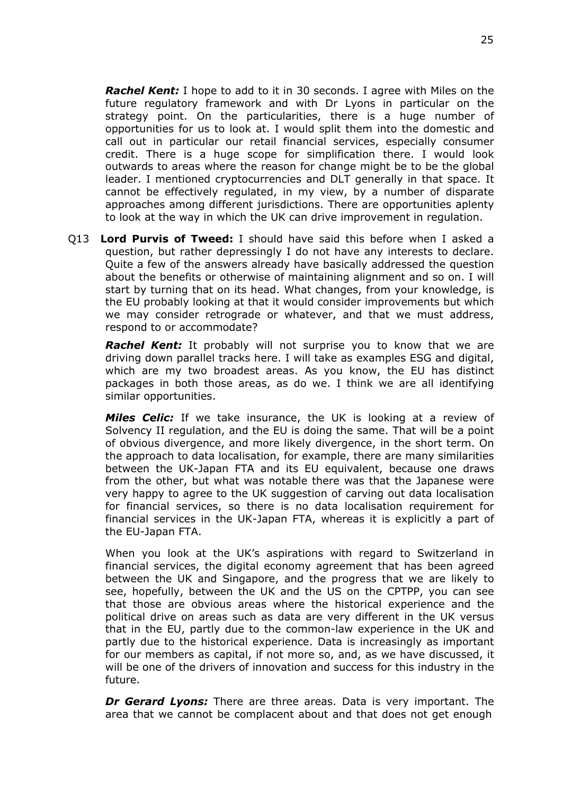*Rachel Kent:* I hope to add to it in 30 seconds. I agree with Miles on the future regulatory framework and with Dr Lyons in particular on the strategy point. On the particularities, there is a huge number of opportunities for us to look at. I would split them into the domestic and call out in particular our retail financial services, especially consumer credit. There is a huge scope for simplification there. I would look outwards to areas where the reason for change might be to be the global leader. I mentioned cryptocurrencies and DLT generally in that space. It cannot be effectively regulated, in my view, by a number of disparate approaches among different jurisdictions. There are opportunities aplenty to look at the way in which the UK can drive improvement in regulation.

Q13 **Lord Purvis of Tweed:** I should have said this before when I asked a question, but rather depressingly I do not have any interests to declare. Quite a few of the answers already have basically addressed the question about the benefits or otherwise of maintaining alignment and so on. I will start by turning that on its head. What changes, from your knowledge, is the EU probably looking at that it would consider improvements but which we may consider retrograde or whatever, and that we must address, respond to or accommodate?

*Rachel Kent:* It probably will not surprise you to know that we are driving down parallel tracks here. I will take as examples ESG and digital, which are my two broadest areas. As you know, the EU has distinct packages in both those areas, as do we. I think we are all identifying similar opportunities.

*Miles Celic:* If we take insurance, the UK is looking at a review of Solvency II regulation, and the EU is doing the same. That will be a point of obvious divergence, and more likely divergence, in the short term. On the approach to data localisation, for example, there are many similarities between the UK-Japan FTA and its EU equivalent, because one draws from the other, but what was notable there was that the Japanese were very happy to agree to the UK suggestion of carving out data localisation for financial services, so there is no data localisation requirement for financial services in the UK-Japan FTA, whereas it is explicitly a part of the EU-Japan FTA.

When you look at the UK's aspirations with regard to Switzerland in financial services, the digital economy agreement that has been agreed between the UK and Singapore, and the progress that we are likely to see, hopefully, between the UK and the US on the CPTPP, you can see that those are obvious areas where the historical experience and the political drive on areas such as data are very different in the UK versus that in the EU, partly due to the common-law experience in the UK and partly due to the historical experience. Data is increasingly as important for our members as capital, if not more so, and, as we have discussed, it will be one of the drivers of innovation and success for this industry in the future.

*Dr Gerard Lyons:* There are three areas. Data is very important. The area that we cannot be complacent about and that does not get enough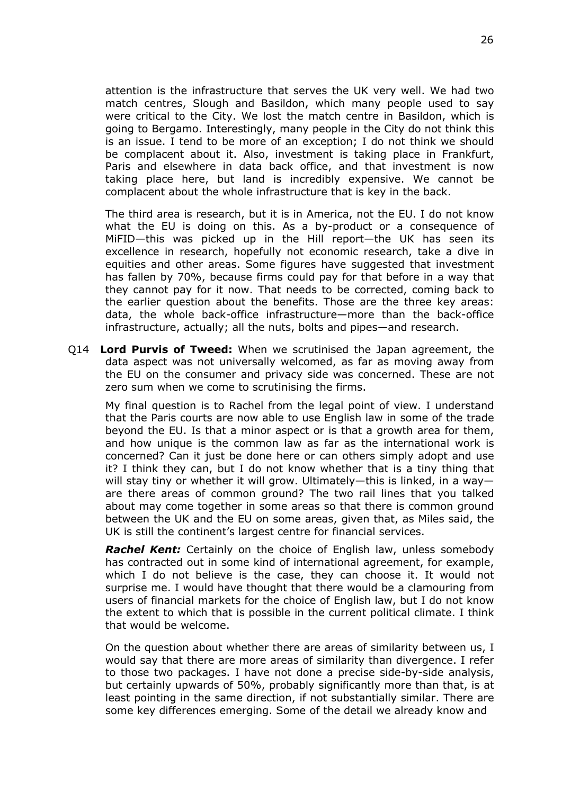attention is the infrastructure that serves the UK very well. We had two match centres, Slough and Basildon, which many people used to say were critical to the City. We lost the match centre in Basildon, which is going to Bergamo. Interestingly, many people in the City do not think this is an issue. I tend to be more of an exception; I do not think we should be complacent about it. Also, investment is taking place in Frankfurt, Paris and elsewhere in data back office, and that investment is now taking place here, but land is incredibly expensive. We cannot be complacent about the whole infrastructure that is key in the back.

The third area is research, but it is in America, not the EU. I do not know what the EU is doing on this. As a by-product or a consequence of MiFID—this was picked up in the Hill report—the UK has seen its excellence in research, hopefully not economic research, take a dive in equities and other areas. Some figures have suggested that investment has fallen by 70%, because firms could pay for that before in a way that they cannot pay for it now. That needs to be corrected, coming back to the earlier question about the benefits. Those are the three key areas: data, the whole back-office infrastructure—more than the back-office infrastructure, actually; all the nuts, bolts and pipes—and research.

Q14 **Lord Purvis of Tweed:** When we scrutinised the Japan agreement, the data aspect was not universally welcomed, as far as moving away from the EU on the consumer and privacy side was concerned. These are not zero sum when we come to scrutinising the firms.

My final question is to Rachel from the legal point of view. I understand that the Paris courts are now able to use English law in some of the trade beyond the EU. Is that a minor aspect or is that a growth area for them, and how unique is the common law as far as the international work is concerned? Can it just be done here or can others simply adopt and use it? I think they can, but I do not know whether that is a tiny thing that will stay tiny or whether it will grow. Ultimately—this is linked, in a way are there areas of common ground? The two rail lines that you talked about may come together in some areas so that there is common ground between the UK and the EU on some areas, given that, as Miles said, the UK is still the continent's largest centre for financial services.

*Rachel Kent:* Certainly on the choice of English law, unless somebody has contracted out in some kind of international agreement, for example, which I do not believe is the case, they can choose it. It would not surprise me. I would have thought that there would be a clamouring from users of financial markets for the choice of English law, but I do not know the extent to which that is possible in the current political climate. I think that would be welcome.

On the question about whether there are areas of similarity between us, I would say that there are more areas of similarity than divergence. I refer to those two packages. I have not done a precise side-by-side analysis, but certainly upwards of 50%, probably significantly more than that, is at least pointing in the same direction, if not substantially similar. There are some key differences emerging. Some of the detail we already know and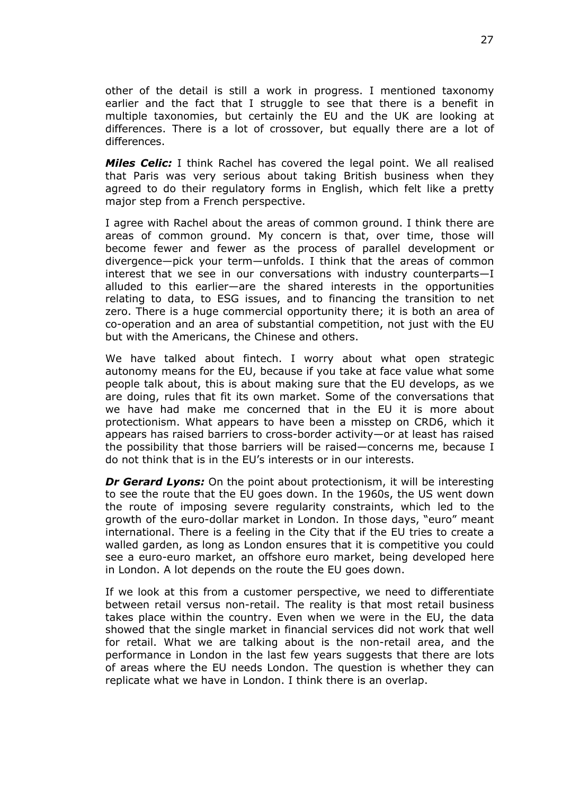other of the detail is still a work in progress. I mentioned taxonomy earlier and the fact that I struggle to see that there is a benefit in multiple taxonomies, but certainly the EU and the UK are looking at differences. There is a lot of crossover, but equally there are a lot of differences.

*Miles Celic:* I think Rachel has covered the legal point. We all realised that Paris was very serious about taking British business when they agreed to do their regulatory forms in English, which felt like a pretty major step from a French perspective.

I agree with Rachel about the areas of common ground. I think there are areas of common ground. My concern is that, over time, those will become fewer and fewer as the process of parallel development or divergence—pick your term—unfolds. I think that the areas of common interest that we see in our conversations with industry counterparts—I alluded to this earlier—are the shared interests in the opportunities relating to data, to ESG issues, and to financing the transition to net zero. There is a huge commercial opportunity there; it is both an area of co-operation and an area of substantial competition, not just with the EU but with the Americans, the Chinese and others.

We have talked about fintech. I worry about what open strategic autonomy means for the EU, because if you take at face value what some people talk about, this is about making sure that the EU develops, as we are doing, rules that fit its own market. Some of the conversations that we have had make me concerned that in the EU it is more about protectionism. What appears to have been a misstep on CRD6, which it appears has raised barriers to cross-border activity—or at least has raised the possibility that those barriers will be raised—concerns me, because I do not think that is in the EU's interests or in our interests.

*Dr Gerard Lyons:* On the point about protectionism, it will be interesting to see the route that the EU goes down. In the 1960s, the US went down the route of imposing severe regularity constraints, which led to the growth of the euro-dollar market in London. In those days, "euro" meant international. There is a feeling in the City that if the EU tries to create a walled garden, as long as London ensures that it is competitive you could see a euro-euro market, an offshore euro market, being developed here in London. A lot depends on the route the EU goes down.

If we look at this from a customer perspective, we need to differentiate between retail versus non-retail. The reality is that most retail business takes place within the country. Even when we were in the EU, the data showed that the single market in financial services did not work that well for retail. What we are talking about is the non-retail area, and the performance in London in the last few years suggests that there are lots of areas where the EU needs London. The question is whether they can replicate what we have in London. I think there is an overlap.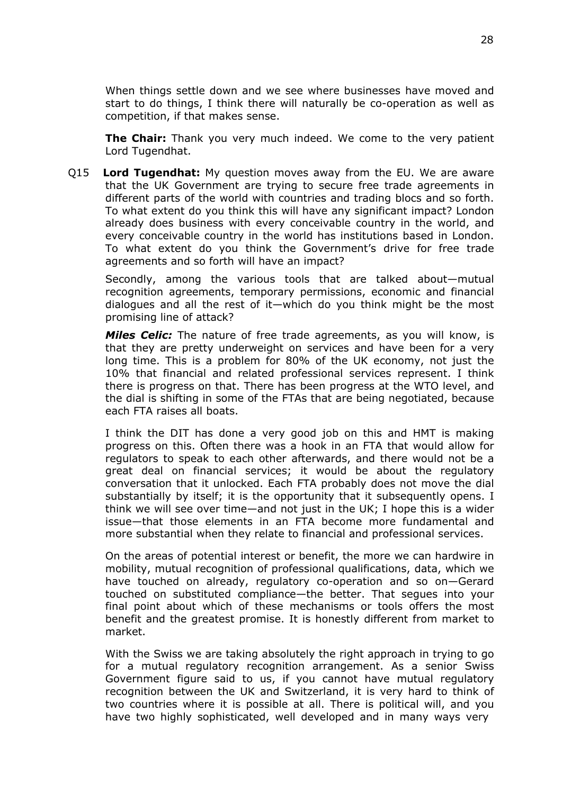When things settle down and we see where businesses have moved and start to do things, I think there will naturally be co-operation as well as competition, if that makes sense.

**The Chair:** Thank you very much indeed. We come to the very patient Lord Tugendhat.

Q15 **Lord Tugendhat:** My question moves away from the EU. We are aware that the UK Government are trying to secure free trade agreements in different parts of the world with countries and trading blocs and so forth. To what extent do you think this will have any significant impact? London already does business with every conceivable country in the world, and every conceivable country in the world has institutions based in London. To what extent do you think the Government's drive for free trade agreements and so forth will have an impact?

Secondly, among the various tools that are talked about—mutual recognition agreements, temporary permissions, economic and financial dialogues and all the rest of it—which do you think might be the most promising line of attack?

*Miles Celic:* The nature of free trade agreements, as you will know, is that they are pretty underweight on services and have been for a very long time. This is a problem for 80% of the UK economy, not just the 10% that financial and related professional services represent. I think there is progress on that. There has been progress at the WTO level, and the dial is shifting in some of the FTAs that are being negotiated, because each FTA raises all boats.

I think the DIT has done a very good job on this and HMT is making progress on this. Often there was a hook in an FTA that would allow for regulators to speak to each other afterwards, and there would not be a great deal on financial services; it would be about the regulatory conversation that it unlocked. Each FTA probably does not move the dial substantially by itself; it is the opportunity that it subsequently opens. I think we will see over time—and not just in the UK; I hope this is a wider issue—that those elements in an FTA become more fundamental and more substantial when they relate to financial and professional services.

On the areas of potential interest or benefit, the more we can hardwire in mobility, mutual recognition of professional qualifications, data, which we have touched on already, regulatory co-operation and so on—Gerard touched on substituted compliance—the better. That segues into your final point about which of these mechanisms or tools offers the most benefit and the greatest promise. It is honestly different from market to market.

With the Swiss we are taking absolutely the right approach in trying to go for a mutual regulatory recognition arrangement. As a senior Swiss Government figure said to us, if you cannot have mutual regulatory recognition between the UK and Switzerland, it is very hard to think of two countries where it is possible at all. There is political will, and you have two highly sophisticated, well developed and in many ways very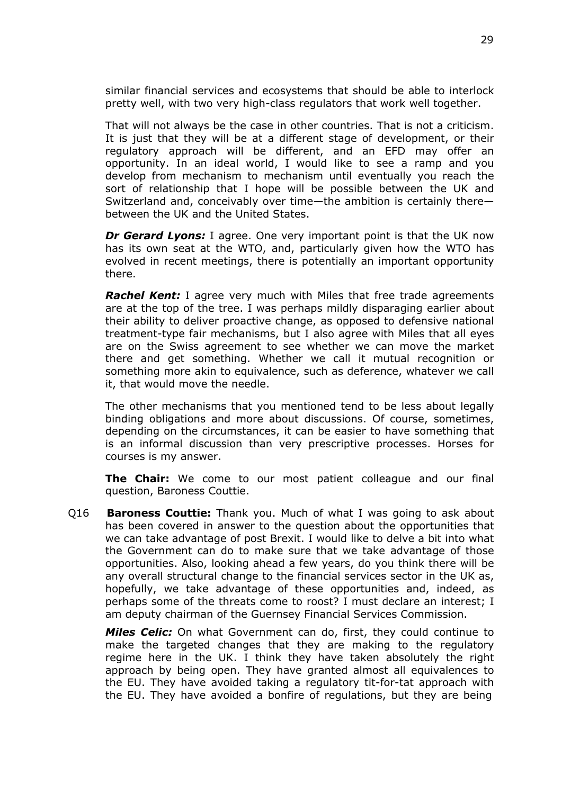similar financial services and ecosystems that should be able to interlock pretty well, with two very high-class regulators that work well together.

That will not always be the case in other countries. That is not a criticism. It is just that they will be at a different stage of development, or their regulatory approach will be different, and an EFD may offer an opportunity. In an ideal world, I would like to see a ramp and you develop from mechanism to mechanism until eventually you reach the sort of relationship that I hope will be possible between the UK and Switzerland and, conceivably over time—the ambition is certainly there between the UK and the United States.

*Dr Gerard Lyons:* I agree. One very important point is that the UK now has its own seat at the WTO, and, particularly given how the WTO has evolved in recent meetings, there is potentially an important opportunity there.

*Rachel Kent:* I agree very much with Miles that free trade agreements are at the top of the tree. I was perhaps mildly disparaging earlier about their ability to deliver proactive change, as opposed to defensive national treatment-type fair mechanisms, but I also agree with Miles that all eyes are on the Swiss agreement to see whether we can move the market there and get something. Whether we call it mutual recognition or something more akin to equivalence, such as deference, whatever we call it, that would move the needle.

The other mechanisms that you mentioned tend to be less about legally binding obligations and more about discussions. Of course, sometimes, depending on the circumstances, it can be easier to have something that is an informal discussion than very prescriptive processes. Horses for courses is my answer.

**The Chair:** We come to our most patient colleague and our final question, Baroness Couttie.

Q16 **Baroness Couttie:** Thank you. Much of what I was going to ask about has been covered in answer to the question about the opportunities that we can take advantage of post Brexit. I would like to delve a bit into what the Government can do to make sure that we take advantage of those opportunities. Also, looking ahead a few years, do you think there will be any overall structural change to the financial services sector in the UK as, hopefully, we take advantage of these opportunities and, indeed, as perhaps some of the threats come to roost? I must declare an interest; I am deputy chairman of the Guernsey Financial Services Commission.

*Miles Celic:* On what Government can do, first, they could continue to make the targeted changes that they are making to the regulatory regime here in the UK. I think they have taken absolutely the right approach by being open. They have granted almost all equivalences to the EU. They have avoided taking a regulatory tit-for-tat approach with the EU. They have avoided a bonfire of regulations, but they are being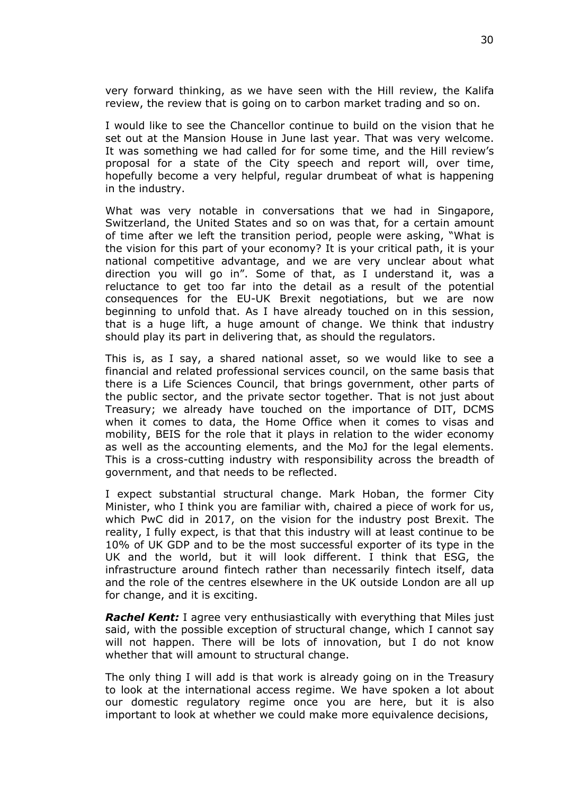very forward thinking, as we have seen with the Hill review, the Kalifa review, the review that is going on to carbon market trading and so on.

I would like to see the Chancellor continue to build on the vision that he set out at the Mansion House in June last year. That was very welcome. It was something we had called for for some time, and the Hill review's proposal for a state of the City speech and report will, over time, hopefully become a very helpful, regular drumbeat of what is happening in the industry.

What was very notable in conversations that we had in Singapore, Switzerland, the United States and so on was that, for a certain amount of time after we left the transition period, people were asking, "What is the vision for this part of your economy? It is your critical path, it is your national competitive advantage, and we are very unclear about what direction you will go in". Some of that, as I understand it, was a reluctance to get too far into the detail as a result of the potential consequences for the EU-UK Brexit negotiations, but we are now beginning to unfold that. As I have already touched on in this session, that is a huge lift, a huge amount of change. We think that industry should play its part in delivering that, as should the regulators.

This is, as I say, a shared national asset, so we would like to see a financial and related professional services council, on the same basis that there is a Life Sciences Council, that brings government, other parts of the public sector, and the private sector together. That is not just about Treasury; we already have touched on the importance of DIT, DCMS when it comes to data, the Home Office when it comes to visas and mobility, BEIS for the role that it plays in relation to the wider economy as well as the accounting elements, and the MoJ for the legal elements. This is a cross-cutting industry with responsibility across the breadth of government, and that needs to be reflected.

I expect substantial structural change. Mark Hoban, the former City Minister, who I think you are familiar with, chaired a piece of work for us, which PwC did in 2017, on the vision for the industry post Brexit. The reality, I fully expect, is that that this industry will at least continue to be 10% of UK GDP and to be the most successful exporter of its type in the UK and the world, but it will look different. I think that ESG, the infrastructure around fintech rather than necessarily fintech itself, data and the role of the centres elsewhere in the UK outside London are all up for change, and it is exciting.

*Rachel Kent:* I agree very enthusiastically with everything that Miles just said, with the possible exception of structural change, which I cannot say will not happen. There will be lots of innovation, but I do not know whether that will amount to structural change.

The only thing I will add is that work is already going on in the Treasury to look at the international access regime. We have spoken a lot about our domestic regulatory regime once you are here, but it is also important to look at whether we could make more equivalence decisions,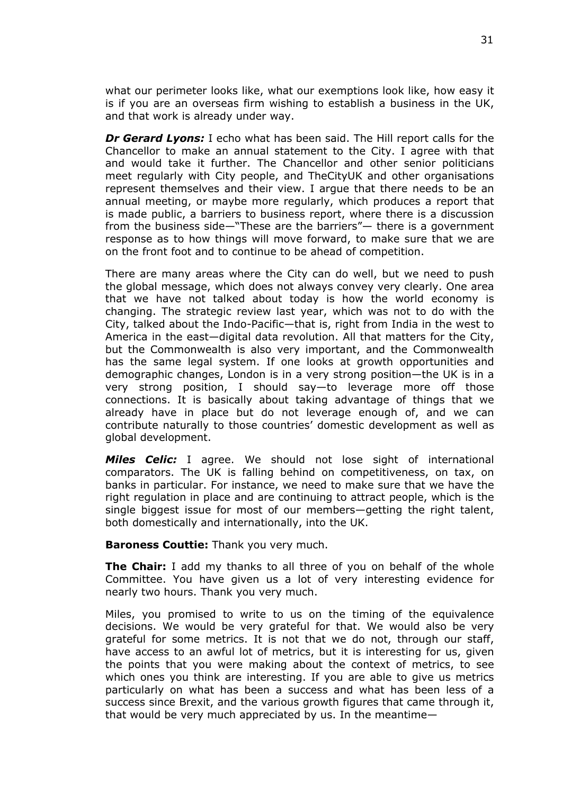what our perimeter looks like, what our exemptions look like, how easy it is if you are an overseas firm wishing to establish a business in the UK, and that work is already under way.

*Dr Gerard Lyons:* I echo what has been said. The Hill report calls for the Chancellor to make an annual statement to the City. I agree with that and would take it further. The Chancellor and other senior politicians meet regularly with City people, and TheCityUK and other organisations represent themselves and their view. I argue that there needs to be an annual meeting, or maybe more regularly, which produces a report that is made public, a barriers to business report, where there is a discussion from the business side—"These are the barriers"— there is a government response as to how things will move forward, to make sure that we are on the front foot and to continue to be ahead of competition.

There are many areas where the City can do well, but we need to push the global message, which does not always convey very clearly. One area that we have not talked about today is how the world economy is changing. The strategic review last year, which was not to do with the City, talked about the Indo-Pacific—that is, right from India in the west to America in the east—digital data revolution. All that matters for the City, but the Commonwealth is also very important, and the Commonwealth has the same legal system. If one looks at growth opportunities and demographic changes, London is in a very strong position—the UK is in a very strong position, I should say—to leverage more off those connections. It is basically about taking advantage of things that we already have in place but do not leverage enough of, and we can contribute naturally to those countries' domestic development as well as global development.

*Miles Celic:* I agree. We should not lose sight of international comparators. The UK is falling behind on competitiveness, on tax, on banks in particular. For instance, we need to make sure that we have the right regulation in place and are continuing to attract people, which is the single biggest issue for most of our members—getting the right talent, both domestically and internationally, into the UK.

**Baroness Couttie:** Thank you very much.

**The Chair:** I add my thanks to all three of you on behalf of the whole Committee. You have given us a lot of very interesting evidence for nearly two hours. Thank you very much.

Miles, you promised to write to us on the timing of the equivalence decisions. We would be very grateful for that. We would also be very grateful for some metrics. It is not that we do not, through our staff, have access to an awful lot of metrics, but it is interesting for us, given the points that you were making about the context of metrics, to see which ones you think are interesting. If you are able to give us metrics particularly on what has been a success and what has been less of a success since Brexit, and the various growth figures that came through it, that would be very much appreciated by us. In the meantime